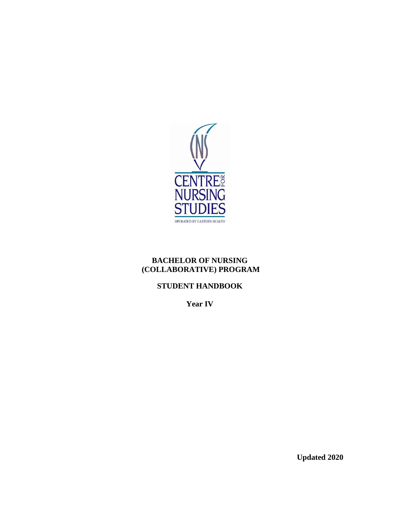

## **BACHELOR OF NURSING (COLLABORATIVE) PROGRAM**

# **STUDENT HANDBOOK**

**Year IV**

**Updated 2020**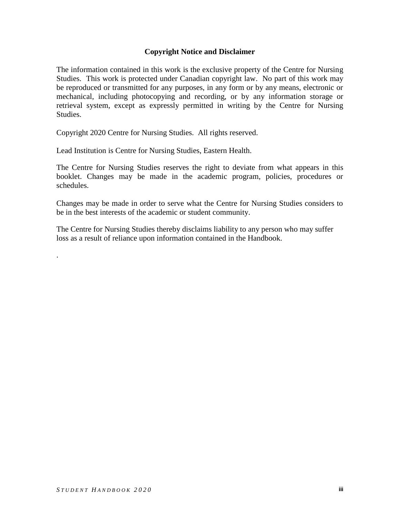### **Copyright Notice and Disclaimer**

The information contained in this work is the exclusive property of the Centre for Nursing Studies. This work is protected under Canadian copyright law. No part of this work may be reproduced or transmitted for any purposes, in any form or by any means, electronic or mechanical, including photocopying and recording, or by any information storage or retrieval system, except as expressly permitted in writing by the Centre for Nursing Studies.

Copyright 2020 Centre for Nursing Studies. All rights reserved.

Lead Institution is Centre for Nursing Studies, Eastern Health.

The Centre for Nursing Studies reserves the right to deviate from what appears in this booklet. Changes may be made in the academic program, policies, procedures or schedules.

Changes may be made in order to serve what the Centre for Nursing Studies considers to be in the best interests of the academic or student community.

The Centre for Nursing Studies thereby disclaims liability to any person who may suffer loss as a result of reliance upon information contained in the Handbook.

.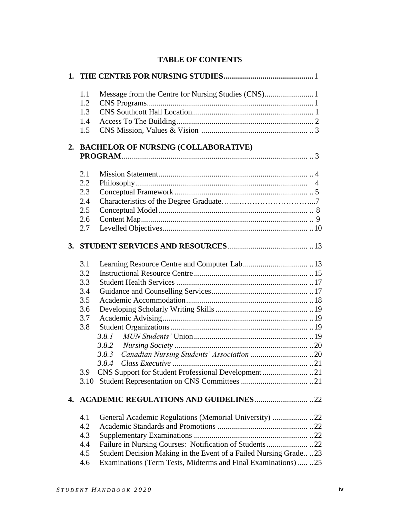|  | <b>TABLE OF CONTENTS</b> |
|--|--------------------------|
|--|--------------------------|

| 1.1 |                                                                  |
|-----|------------------------------------------------------------------|
| 1.2 |                                                                  |
| 1.3 |                                                                  |
| 1.4 |                                                                  |
| 1.5 |                                                                  |
|     | 2. BACHELOR OF NURSING (COLLABORATIVE)                           |
|     |                                                                  |
| 2.1 |                                                                  |
| 2.2 |                                                                  |
| 2.3 |                                                                  |
| 2.4 |                                                                  |
| 2.5 |                                                                  |
| 2.6 |                                                                  |
| 2.7 |                                                                  |
|     |                                                                  |
| 3.1 |                                                                  |
| 3.2 |                                                                  |
| 3.3 |                                                                  |
| 3.4 |                                                                  |
| 3.5 |                                                                  |
| 3.6 |                                                                  |
| 3.7 |                                                                  |
| 3.8 |                                                                  |
|     | 3.8.1                                                            |
|     |                                                                  |
|     | 3.8.3                                                            |
|     |                                                                  |
| 3.9 |                                                                  |
|     |                                                                  |
|     |                                                                  |
| 4.1 |                                                                  |
| 4.2 |                                                                  |
| 4.3 |                                                                  |
| 4.4 |                                                                  |
| 4.5 | Student Decision Making in the Event of a Failed Nursing Grade23 |
| 4.6 | Examinations (Term Tests, Midterms and Final Examinations)  .25  |
|     |                                                                  |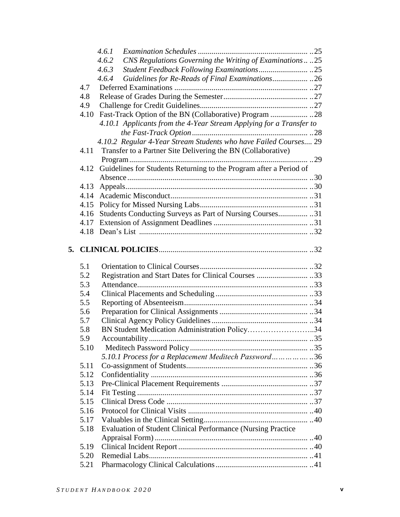|    |      | 4.6.1                                                               |  |
|----|------|---------------------------------------------------------------------|--|
|    |      | CNS Regulations Governing the Writing of Examinations 25<br>4.6.2   |  |
|    |      | 4.6.3                                                               |  |
|    |      | 4.6.4                                                               |  |
|    | 4.7  |                                                                     |  |
|    | 4.8  |                                                                     |  |
|    | 4.9  |                                                                     |  |
|    | 4.10 |                                                                     |  |
|    |      | 4.10.1 Applicants from the 4-Year Stream Applying for a Transfer to |  |
|    |      |                                                                     |  |
|    |      | 4.10.2 Regular 4-Year Stream Students who have Failed Courses 29    |  |
|    | 4.11 | Transfer to a Partner Site Delivering the BN (Collaborative)        |  |
|    |      |                                                                     |  |
|    | 4.12 | Guidelines for Students Returning to the Program after a Period of  |  |
|    |      |                                                                     |  |
|    | 4.13 |                                                                     |  |
|    | 4.14 |                                                                     |  |
|    | 4.15 |                                                                     |  |
|    | 4.16 | Students Conducting Surveys as Part of Nursing Courses 31           |  |
|    | 4.17 |                                                                     |  |
|    |      |                                                                     |  |
|    |      |                                                                     |  |
| 5. |      |                                                                     |  |
|    |      |                                                                     |  |
|    |      |                                                                     |  |
|    | 5.1  |                                                                     |  |
|    | 5.2  | Registration and Start Dates for Clinical Courses 33                |  |
|    | 5.3  |                                                                     |  |
|    | 5.4  |                                                                     |  |
|    | 5.5  |                                                                     |  |
|    | 5.6  |                                                                     |  |
|    | 5.7  |                                                                     |  |
|    | 5.8  | BN Student Medication Administration Policy34                       |  |
|    | 5.9  |                                                                     |  |
|    | 5.10 |                                                                     |  |
|    |      | 5.10.1 Process for a Replacement Meditech Password36                |  |
|    | 5.11 |                                                                     |  |
|    | 5.12 |                                                                     |  |
|    | 5.13 |                                                                     |  |
|    | 5.14 |                                                                     |  |
|    | 5.15 |                                                                     |  |
|    | 5.16 |                                                                     |  |
|    | 5.17 |                                                                     |  |
|    | 5.18 | Evaluation of Student Clinical Performance (Nursing Practice        |  |
|    |      |                                                                     |  |
|    | 5.19 |                                                                     |  |
|    | 5.20 |                                                                     |  |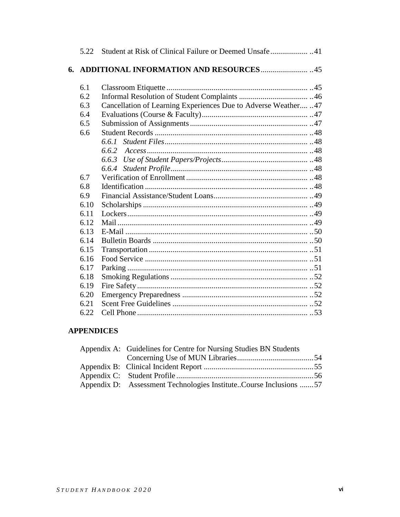|    | 5.22 |                                                                 |
|----|------|-----------------------------------------------------------------|
| 6. |      |                                                                 |
|    | 6.1  |                                                                 |
|    | 6.2  |                                                                 |
|    | 6.3  | Cancellation of Learning Experiences Due to Adverse Weather  47 |
|    | 6.4  |                                                                 |
|    | 6.5  |                                                                 |
|    | 6.6  |                                                                 |
|    |      | 6.6.1                                                           |
|    |      | 6.6.2                                                           |
|    |      | 6.6.3                                                           |
|    |      |                                                                 |
|    | 6.7  |                                                                 |
|    | 6.8  |                                                                 |
|    | 6.9  |                                                                 |
|    | 6.10 |                                                                 |
|    | 6.11 |                                                                 |
|    | 6.12 |                                                                 |
|    | 6.13 |                                                                 |
|    | 6.14 |                                                                 |
|    | 6.15 |                                                                 |
|    | 6.16 |                                                                 |
|    | 6.17 |                                                                 |
|    | 6.18 |                                                                 |
|    | 6.19 |                                                                 |
|    | 6.20 |                                                                 |
|    | 6.21 |                                                                 |
|    | 6.22 |                                                                 |

# **APPENDICES**

| Appendix A: Guidelines for Centre for Nursing Studies BN Students |  |
|-------------------------------------------------------------------|--|
|                                                                   |  |
|                                                                   |  |
|                                                                   |  |
| Appendix D: Assessment Technologies InstituteCourse Inclusions 57 |  |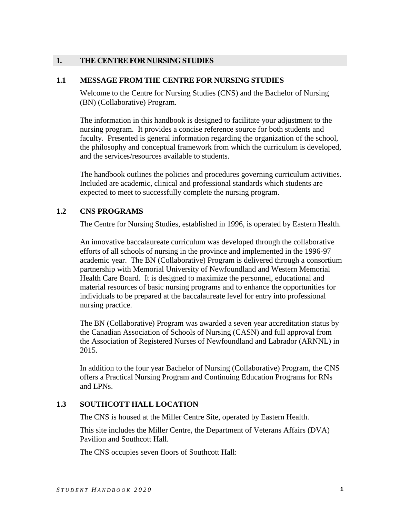### **1. THE CENTRE FOR NURSING STUDIES**

### **1.1 MESSAGE FROM THE CENTRE FOR NURSING STUDIES**

Welcome to the Centre for Nursing Studies (CNS) and the Bachelor of Nursing (BN) (Collaborative) Program.

The information in this handbook is designed to facilitate your adjustment to the nursing program. It provides a concise reference source for both students and faculty. Presented is general information regarding the organization of the school, the philosophy and conceptual framework from which the curriculum is developed, and the services/resources available to students.

The handbook outlines the policies and procedures governing curriculum activities. Included are academic, clinical and professional standards which students are expected to meet to successfully complete the nursing program.

### **1.2 CNS PROGRAMS**

The Centre for Nursing Studies, established in 1996, is operated by Eastern Health.

An innovative baccalaureate curriculum was developed through the collaborative efforts of all schools of nursing in the province and implemented in the 1996-97 academic year. The BN (Collaborative) Program is delivered through a consortium partnership with Memorial University of Newfoundland and Western Memorial Health Care Board. It is designed to maximize the personnel, educational and material resources of basic nursing programs and to enhance the opportunities for individuals to be prepared at the baccalaureate level for entry into professional nursing practice.

The BN (Collaborative) Program was awarded a seven year accreditation status by the Canadian Association of Schools of Nursing (CASN) and full approval from the Association of Registered Nurses of Newfoundland and Labrador (ARNNL) in 2015.

In addition to the four year Bachelor of Nursing (Collaborative) Program, the CNS offers a Practical Nursing Program and Continuing Education Programs for RNs and LPNs.

## **1.3 SOUTHCOTT HALL LOCATION**

The CNS is housed at the Miller Centre Site, operated by Eastern Health.

This site includes the Miller Centre, the Department of Veterans Affairs (DVA) Pavilion and Southcott Hall.

The CNS occupies seven floors of Southcott Hall: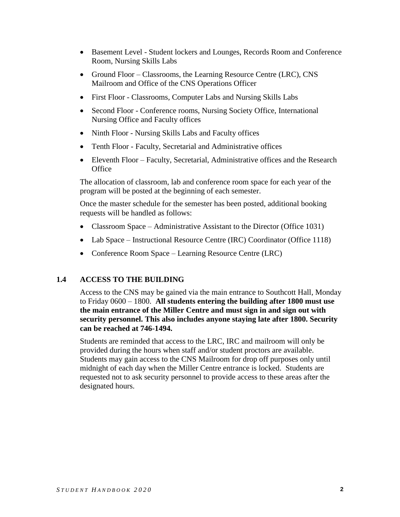- Basement Level Student lockers and Lounges, Records Room and Conference Room, Nursing Skills Labs
- Ground Floor Classrooms, the Learning Resource Centre (LRC), CNS Mailroom and Office of the CNS Operations Officer
- First Floor Classrooms, Computer Labs and Nursing Skills Labs
- Second Floor Conference rooms, Nursing Society Office, International Nursing Office and Faculty offices
- Ninth Floor Nursing Skills Labs and Faculty offices
- Tenth Floor Faculty, Secretarial and Administrative offices
- Eleventh Floor Faculty, Secretarial, Administrative offices and the Research **Office**

The allocation of classroom, lab and conference room space for each year of the program will be posted at the beginning of each semester.

Once the master schedule for the semester has been posted, additional booking requests will be handled as follows:

- Classroom Space Administrative Assistant to the Director (Office 1031)
- Lab Space Instructional Resource Centre (IRC) Coordinator (Office 1118)
- Conference Room Space Learning Resource Centre (LRC)

## **1.4 ACCESS TO THE BUILDING**

Access to the CNS may be gained via the main entrance to Southcott Hall, Monday to Friday 0600 – 1800. **All students entering the building after 1800 must use the main entrance of the Miller Centre and must sign in and sign out with security personnel. This also includes anyone staying late after 1800. Security can be reached at 746-1494.**

Students are reminded that access to the LRC, IRC and mailroom will only be provided during the hours when staff and/or student proctors are available. Students may gain access to the CNS Mailroom for drop off purposes only until midnight of each day when the Miller Centre entrance is locked. Students are requested not to ask security personnel to provide access to these areas after the designated hours.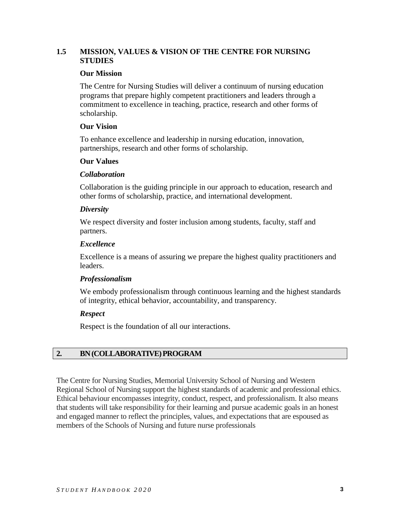## **1.5 MISSION, VALUES & VISION OF THE CENTRE FOR NURSING STUDIES**

### **Our Mission**

The Centre for Nursing Studies will deliver a continuum of nursing education programs that prepare highly competent practitioners and leaders through a commitment to excellence in teaching, practice, research and other forms of scholarship.

### **Our Vision**

To enhance excellence and leadership in nursing education, innovation, partnerships, research and other forms of scholarship.

#### **Our Values**

#### *Collaboration*

Collaboration is the guiding principle in our approach to education, research and other forms of scholarship, practice, and international development.

#### *Diversity*

We respect diversity and foster inclusion among students, faculty, staff and partners.

#### *Excellence*

Excellence is a means of assuring we prepare the highest quality practitioners and leaders.

### *Professionalism*

We embody professionalism through continuous learning and the highest standards of integrity, ethical behavior, accountability, and transparency.

### *Respect*

Respect is the foundation of all our interactions.

## **2. BN(COLLABORATIVE)PROGRAM**

The Centre for Nursing Studies, Memorial University School of Nursing and Western Regional School of Nursing support the highest standards of academic and professional ethics. Ethical behaviour encompasses integrity, conduct, respect, and professionalism. It also means that students will take responsibility for their learning and pursue academic goals in an honest and engaged manner to reflect the principles, values, and expectations that are espoused as members of the Schools of Nursing and future nurse professionals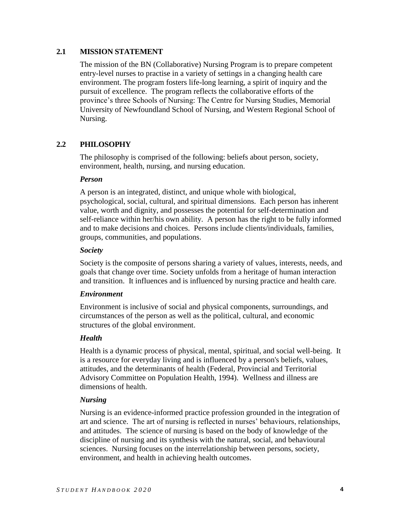### **2.1 MISSION STATEMENT**

The mission of the BN (Collaborative) Nursing Program is to prepare competent entry-level nurses to practise in a variety of settings in a changing health care environment. The program fosters life-long learning, a spirit of inquiry and the pursuit of excellence. The program reflects the collaborative efforts of the province's three Schools of Nursing: The Centre for Nursing Studies, Memorial University of Newfoundland School of Nursing, and Western Regional School of Nursing.

## **2.2 PHILOSOPHY**

The philosophy is comprised of the following: beliefs about person, society, environment, health, nursing, and nursing education.

### *Person*

A person is an integrated, distinct, and unique whole with biological, psychological, social, cultural, and spiritual dimensions. Each person has inherent value, worth and dignity, and possesses the potential for self-determination and self-reliance within her/his own ability. A person has the right to be fully informed and to make decisions and choices. Persons include clients/individuals, families, groups, communities, and populations.

### *Society*

Society is the composite of persons sharing a variety of values, interests, needs, and goals that change over time. Society unfolds from a heritage of human interaction and transition. It influences and is influenced by nursing practice and health care.

### *Environment*

Environment is inclusive of social and physical components, surroundings, and circumstances of the person as well as the political, cultural, and economic structures of the global environment.

## *Health*

Health is a dynamic process of physical, mental, spiritual, and social well-being. It is a resource for everyday living and is influenced by a person's beliefs, values, attitudes, and the determinants of health (Federal, Provincial and Territorial Advisory Committee on Population Health, 1994). Wellness and illness are dimensions of health.

## *Nursing*

Nursing is an evidence-informed practice profession grounded in the integration of art and science. The art of nursing is reflected in nurses' behaviours, relationships, and attitudes. The science of nursing is based on the body of knowledge of the discipline of nursing and its synthesis with the natural, social, and behavioural sciences. Nursing focuses on the interrelationship between persons, society, environment, and health in achieving health outcomes.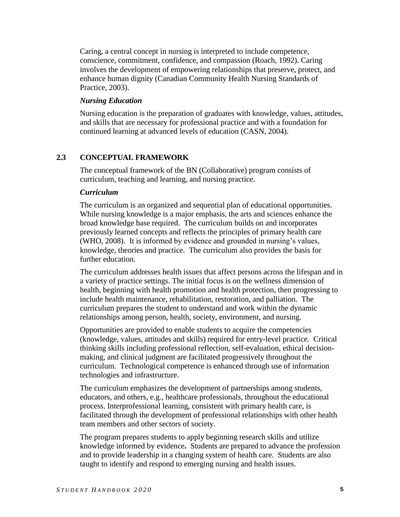Caring, a central concept in nursing is interpreted to include competence, conscience, commitment, confidence, and compassion (Roach, 1992). Caring involves the development of empowering relationships that preserve, protect, and enhance human dignity (Canadian Community Health Nursing Standards of Practice, 2003).

#### *Nursing Education*

Nursing education is the preparation of graduates with knowledge, values, attitudes, and skills that are necessary for professional practice and with a foundation for continued learning at advanced levels of education (CASN, 2004).

### **2.3 CONCEPTUAL FRAMEWORK**

The conceptual framework of the BN (Collaborative) program consists of curriculum, teaching and learning, and nursing practice.

#### *Curriculum*

The curriculum is an organized and sequential plan of educational opportunities. While nursing knowledge is a major emphasis, the arts and sciences enhance the broad knowledge base required. The curriculum builds on and incorporates previously learned concepts and reflects the principles of primary health care (WHO, 2008). It is informed by evidence and grounded in nursing's values, knowledge, theories and practice. The curriculum also provides the basis for further education.

The curriculum addresses health issues that affect persons across the lifespan and in a variety of practice settings. The initial focus is on the wellness dimension of health, beginning with health promotion and health protection, then progressing to include health maintenance, rehabilitation, restoration, and palliation. The curriculum prepares the student to understand and work within the dynamic relationships among person, health, society, environment, and nursing.

Opportunities are provided to enable students to acquire the competencies (knowledge, values, attitudes and skills) required for entry-level practice. Critical thinking skills including professional reflection, self-evaluation, ethical decisionmaking, and clinical judgment are facilitated progressively throughout the curriculum. Technological competence is enhanced through use of information technologies and infrastructure.

The curriculum emphasizes the development of partnerships among students, educators, and others, e.g., healthcare professionals, throughout the educational process. Interprofessional learning, consistent with primary health care, is facilitated through the development of professional relationships with other health team members and other sectors of society.

The program prepares students to apply beginning research skills and utilize knowledge informed by evidence**.** Students are prepared to advance the profession and to provide leadership in a changing system of health care. Students are also taught to identify and respond to emerging nursing and health issues.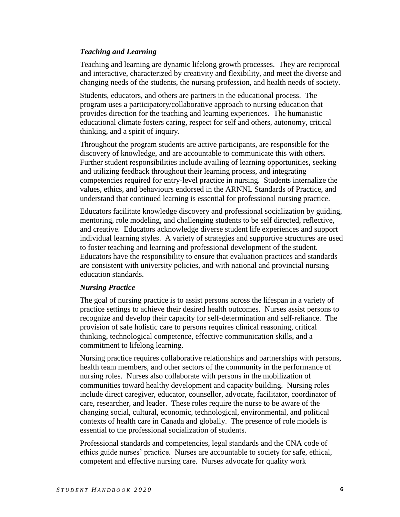### *Teaching and Learning*

Teaching and learning are dynamic lifelong growth processes. They are reciprocal and interactive, characterized by creativity and flexibility, and meet the diverse and changing needs of the students, the nursing profession, and health needs of society.

Students, educators, and others are partners in the educational process. The program uses a participatory/collaborative approach to nursing education that provides direction for the teaching and learning experiences. The humanistic educational climate fosters caring, respect for self and others, autonomy, critical thinking, and a spirit of inquiry.

Throughout the program students are active participants, are responsible for the discovery of knowledge, and are accountable to communicate this with others. Further student responsibilities include availing of learning opportunities, seeking and utilizing feedback throughout their learning process, and integrating competencies required for entry-level practice in nursing. Students internalize the values, ethics, and behaviours endorsed in the ARNNL Standards of Practice, and understand that continued learning is essential for professional nursing practice.

Educators facilitate knowledge discovery and professional socialization by guiding, mentoring, role modeling, and challenging students to be self directed, reflective, and creative. Educators acknowledge diverse student life experiences and support individual learning styles. A variety of strategies and supportive structures are used to foster teaching and learning and professional development of the student. Educators have the responsibility to ensure that evaluation practices and standards are consistent with university policies, and with national and provincial nursing education standards.

### *Nursing Practice*

The goal of nursing practice is to assist persons across the lifespan in a variety of practice settings to achieve their desired health outcomes. Nurses assist persons to recognize and develop their capacity for self-determination and self-reliance. The provision of safe holistic care to persons requires clinical reasoning, critical thinking, technological competence, effective communication skills, and a commitment to lifelong learning.

Nursing practice requires collaborative relationships and partnerships with persons, health team members, and other sectors of the community in the performance of nursing roles. Nurses also collaborate with persons in the mobilization of communities toward healthy development and capacity building. Nursing roles include direct caregiver, educator, counsellor, advocate, facilitator, coordinator of care, researcher, and leader. These roles require the nurse to be aware of the changing social, cultural, economic, technological, environmental, and political contexts of health care in Canada and globally. The presence of role models is essential to the professional socialization of students.

Professional standards and competencies, legal standards and the CNA code of ethics guide nurses' practice. Nurses are accountable to society for safe, ethical, competent and effective nursing care. Nurses advocate for quality work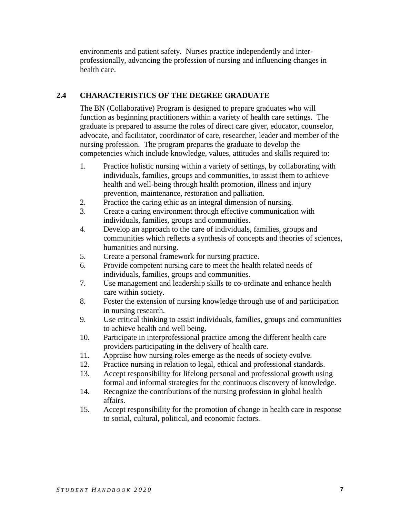environments and patient safety. Nurses practice independently and interprofessionally, advancing the profession of nursing and influencing changes in health care.

## **2.4 CHARACTERISTICS OF THE DEGREE GRADUATE**

The BN (Collaborative) Program is designed to prepare graduates who will function as beginning practitioners within a variety of health care settings. The graduate is prepared to assume the roles of direct care giver, educator, counselor, advocate, and facilitator, coordinator of care, researcher, leader and member of the nursing profession. The program prepares the graduate to develop the competencies which include knowledge, values, attitudes and skills required to:

- 1. Practice holistic nursing within a variety of settings, by collaborating with individuals, families, groups and communities, to assist them to achieve health and well-being through health promotion, illness and injury prevention, maintenance, restoration and palliation.
- 2. Practice the caring ethic as an integral dimension of nursing.
- 3. Create a caring environment through effective communication with individuals, families, groups and communities.
- 4. Develop an approach to the care of individuals, families, groups and communities which reflects a synthesis of concepts and theories of sciences, humanities and nursing.
- 5. Create a personal framework for nursing practice.
- 6. Provide competent nursing care to meet the health related needs of individuals, families, groups and communities.
- 7. Use management and leadership skills to co-ordinate and enhance health care within society.
- 8. Foster the extension of nursing knowledge through use of and participation in nursing research.
- 9. Use critical thinking to assist individuals, families, groups and communities to achieve health and well being.
- 10. Participate in interprofessional practice among the different health care providers participating in the delivery of health care.
- 11. Appraise how nursing roles emerge as the needs of society evolve.
- 12. Practice nursing in relation to legal, ethical and professional standards.
- 13. Accept responsibility for lifelong personal and professional growth using formal and informal strategies for the continuous discovery of knowledge.
- 14. Recognize the contributions of the nursing profession in global health affairs.
- 15. Accept responsibility for the promotion of change in health care in response to social, cultural, political, and economic factors.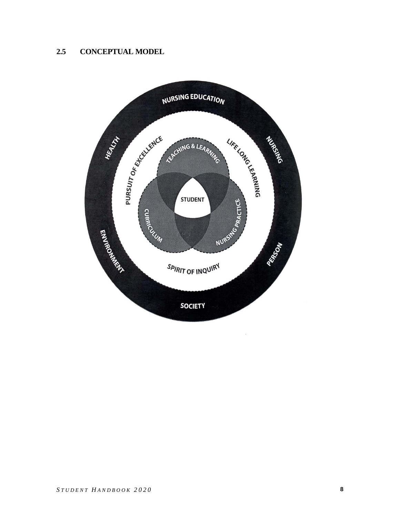# **2.5 CONCEPTUAL MODEL**

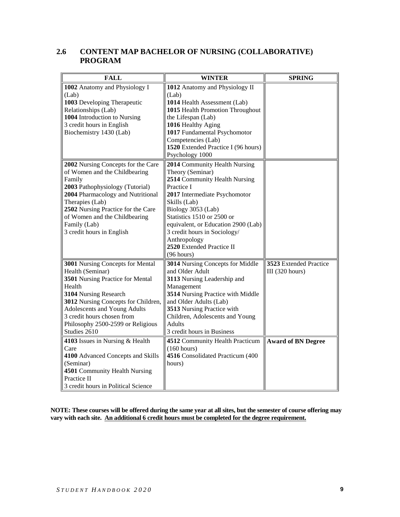## **2.6 CONTENT MAP BACHELOR OF NURSING (COLLABORATIVE) PROGRAM**

| <b>FALL</b>                                                                                                                                                                                                                                                                                  | <b>WINTER</b>                                                                                                                                                                                                                                                                                                                                              | <b>SPRING</b>                                       |
|----------------------------------------------------------------------------------------------------------------------------------------------------------------------------------------------------------------------------------------------------------------------------------------------|------------------------------------------------------------------------------------------------------------------------------------------------------------------------------------------------------------------------------------------------------------------------------------------------------------------------------------------------------------|-----------------------------------------------------|
| 1002 Anatomy and Physiology I<br>(Lab)<br>1003 Developing Therapeutic<br>Relationships (Lab)<br>1004 Introduction to Nursing<br>3 credit hours in English<br>Biochemistry 1430 (Lab)                                                                                                         | 1012 Anatomy and Physiology II<br>(Lab)<br>1014 Health Assessment (Lab)<br>1015 Health Promotion Throughout<br>the Lifespan (Lab)<br>1016 Healthy Aging<br>1017 Fundamental Psychomotor<br>Competencies (Lab)<br>1520 Extended Practice I (96 hours)                                                                                                       |                                                     |
| 2002 Nursing Concepts for the Care<br>of Women and the Childbearing<br>Family<br>2003 Pathophysiology (Tutorial)<br>2004 Pharmacology and Nutritional<br>Therapies (Lab)<br>2502 Nursing Practice for the Care<br>of Women and the Childbearing<br>Family (Lab)<br>3 credit hours in English | Psychology 1000<br>2014 Community Health Nursing<br>Theory (Seminar)<br>2514 Community Health Nursing<br>Practice I<br>2017 Intermediate Psychomotor<br>Skills (Lab)<br>Biology 3053 (Lab)<br>Statistics 1510 or 2500 or<br>equivalent, or Education 2900 (Lab)<br>3 credit hours in Sociology/<br>Anthropology<br>2520 Extended Practice II<br>(96 hours) |                                                     |
| 3001 Nursing Concepts for Mental<br>Health (Seminar)<br>3501 Nursing Practice for Mental<br>Health<br>3104 Nursing Research<br>3012 Nursing Concepts for Children,<br>Adolescents and Young Adults<br>3 credit hours chosen from<br>Philosophy 2500-2599 or Religious<br>Studies 2610        | 3014 Nursing Concepts for Middle<br>and Older Adult<br>3113 Nursing Leadership and<br>Management<br>3514 Nursing Practice with Middle<br>and Older Adults (Lab)<br>3513 Nursing Practice with<br>Children, Adolescents and Young<br>Adults<br>3 credit hours in Business                                                                                   | 3523 Extended Practice<br>III $(320 \text{ hours})$ |
| 4103 Issues in Nursing & Health<br>Care<br>4100 Advanced Concepts and Skills<br>(Seminar)<br>4501 Community Health Nursing<br>Practice II<br>3 credit hours in Political Science                                                                                                             | 4512 Community Health Practicum<br>(160 hours)<br>4516 Consolidated Practicum (400<br>hours)                                                                                                                                                                                                                                                               | <b>Award of BN Degree</b>                           |

**NOTE: These courses will be offered during the same year at all sites, but the semester of course offering may**  vary with each site. An additional 6 credit hours must be completed for the degree requirement.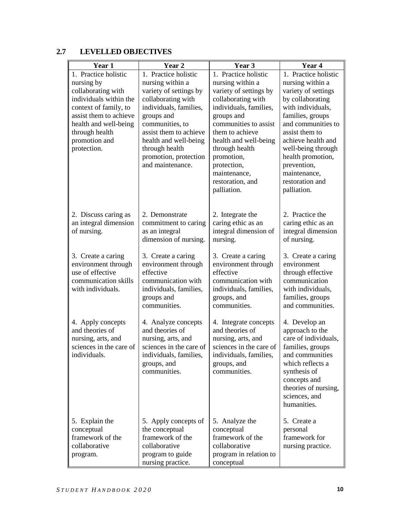# **2.7 LEVELLED OBJECTIVES**

| Year 1                                        | Year 2                                    | Year 3                                       | Year 4                             |
|-----------------------------------------------|-------------------------------------------|----------------------------------------------|------------------------------------|
| 1. Practice holistic                          | 1. Practice holistic                      | 1. Practice holistic                         | 1. Practice holistic               |
| nursing by                                    | nursing within a                          | nursing within a                             | nursing within a                   |
| collaborating with                            | variety of settings by                    | variety of settings by                       | variety of settings                |
| individuals within the                        | collaborating with                        | collaborating with                           | by collaborating                   |
| context of family, to                         | individuals, families,                    | individuals, families,                       | with individuals,                  |
| assist them to achieve                        | groups and                                | groups and                                   | families, groups                   |
| health and well-being                         | communities, to                           | communities to assist                        | and communities to                 |
| through health                                | assist them to achieve                    | them to achieve                              | assist them to                     |
| promotion and                                 | health and well-being                     | health and well-being                        | achieve health and                 |
| protection.                                   | through health                            | through health                               | well-being through                 |
|                                               | promotion, protection<br>and maintenance. | promotion,<br>protection,                    | health promotion,                  |
|                                               |                                           | maintenance,                                 | prevention,<br>maintenance,        |
|                                               |                                           | restoration, and                             | restoration and                    |
|                                               |                                           | palliation.                                  | palliation.                        |
|                                               |                                           |                                              |                                    |
|                                               |                                           |                                              | 2. Practice the                    |
| 2. Discuss caring as<br>an integral dimension | 2. Demonstrate<br>commitment to caring    | 2. Integrate the<br>caring ethic as an       | caring ethic as an                 |
| of nursing.                                   | as an integral                            | integral dimension of                        | integral dimension                 |
|                                               | dimension of nursing.                     | nursing.                                     | of nursing.                        |
|                                               |                                           |                                              |                                    |
| 3. Create a caring                            | 3. Create a caring                        | 3. Create a caring                           | 3. Create a caring                 |
| environment through                           | environment through                       | environment through                          | environment                        |
| use of effective                              | effective                                 | effective                                    | through effective                  |
| communication skills<br>with individuals.     | communication with                        | communication with<br>individuals, families, | communication<br>with individuals, |
|                                               | individuals, families,<br>groups and      | groups, and                                  | families, groups                   |
|                                               | communities.                              | communities.                                 | and communities.                   |
|                                               |                                           |                                              |                                    |
| 4. Apply concepts                             | 4. Analyze concepts                       | 4. Integrate concepts                        | 4. Develop an                      |
| and theories of                               | and theories of                           | and theories of                              | approach to the                    |
| nursing, arts, and                            | nursing, arts, and                        | nursing, arts, and                           | care of individuals,               |
| sciences in the care of                       | sciences in the care of                   | sciences in the care of                      | families, groups                   |
| individuals.                                  | individuals, families,                    | individuals, families,                       | and communities                    |
|                                               | groups, and                               | groups, and<br>communities.                  | which reflects a                   |
|                                               | communities.                              |                                              | synthesis of<br>concepts and       |
|                                               |                                           |                                              | theories of nursing,               |
|                                               |                                           |                                              | sciences, and                      |
|                                               |                                           |                                              | humanities.                        |
|                                               |                                           | 5. Analyze the                               | 5. Create a                        |
| 5. Explain the<br>conceptual                  | 5. Apply concepts of<br>the conceptual    | conceptual                                   | personal                           |
| framework of the                              | framework of the                          | framework of the                             | framework for                      |
| collaborative                                 | collaborative                             | collaborative                                | nursing practice.                  |
| program.                                      | program to guide                          | program in relation to                       |                                    |
|                                               | nursing practice.                         | conceptual                                   |                                    |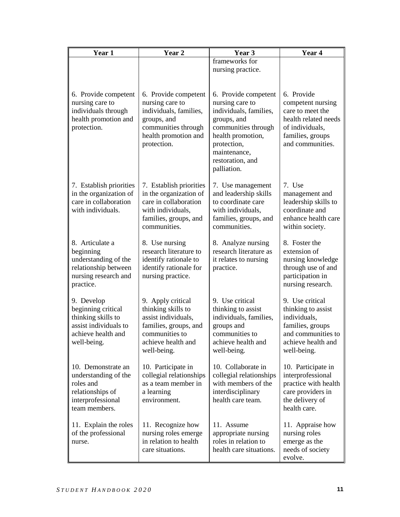| Year 1                                                                                                               | Year <sub>2</sub>                                                                                                                              | Year 3                                                                                                                                                                                         | Year 4                                                                                                                                 |
|----------------------------------------------------------------------------------------------------------------------|------------------------------------------------------------------------------------------------------------------------------------------------|------------------------------------------------------------------------------------------------------------------------------------------------------------------------------------------------|----------------------------------------------------------------------------------------------------------------------------------------|
|                                                                                                                      |                                                                                                                                                | frameworks for<br>nursing practice.                                                                                                                                                            |                                                                                                                                        |
| 6. Provide competent<br>nursing care to<br>individuals through<br>health promotion and<br>protection.                | 6. Provide competent<br>nursing care to<br>individuals, families,<br>groups, and<br>communities through<br>health promotion and<br>protection. | 6. Provide competent<br>nursing care to<br>individuals, families,<br>groups, and<br>communities through<br>health promotion,<br>protection,<br>maintenance,<br>restoration, and<br>palliation. | 6. Provide<br>competent nursing<br>care to meet the<br>health related needs<br>of individuals,<br>families, groups<br>and communities. |
| 7. Establish priorities<br>in the organization of<br>care in collaboration<br>with individuals.                      | 7. Establish priorities<br>in the organization of<br>care in collaboration<br>with individuals,<br>families, groups, and<br>communities.       | 7. Use management<br>and leadership skills<br>to coordinate care<br>with individuals,<br>families, groups, and<br>communities.                                                                 | 7. Use<br>management and<br>leadership skills to<br>coordinate and<br>enhance health care<br>within society.                           |
| 8. Articulate a<br>beginning<br>understanding of the<br>relationship between<br>nursing research and<br>practice.    | 8. Use nursing<br>research literature to<br>identify rationale to<br>identify rationale for<br>nursing practice.                               | 8. Analyze nursing<br>research literature as<br>it relates to nursing<br>practice.                                                                                                             | 8. Foster the<br>extension of<br>nursing knowledge<br>through use of and<br>participation in<br>nursing research.                      |
| 9. Develop<br>beginning critical<br>thinking skills to<br>assist individuals to<br>achieve health and<br>well-being. | 9. Apply critical<br>thinking skills to<br>assist individuals,<br>families, groups, and<br>communities to<br>achieve health and<br>well-being. | 9. Use critical<br>thinking to assist<br>individuals, families,<br>groups and<br>communities to<br>achieve health and<br>well-being.                                                           | 9. Use critical<br>thinking to assist<br>individuals,<br>families, groups<br>and communities to<br>achieve health and<br>well-being.   |
| 10. Demonstrate an<br>understanding of the<br>roles and<br>relationships of<br>interprofessional<br>team members.    | 10. Participate in<br>collegial relationships<br>as a team member in<br>a learning<br>environment.                                             | 10. Collaborate in<br>collegial relationships<br>with members of the<br>interdisciplinary<br>health care team.                                                                                 | 10. Participate in<br>interprofessional<br>practice with health<br>care providers in<br>the delivery of<br>health care.                |
| 11. Explain the roles<br>of the professional<br>nurse.                                                               | 11. Recognize how<br>nursing roles emerge<br>in relation to health<br>care situations.                                                         | 11. Assume<br>appropriate nursing<br>roles in relation to<br>health care situations.                                                                                                           | 11. Appraise how<br>nursing roles<br>emerge as the<br>needs of society<br>evolve.                                                      |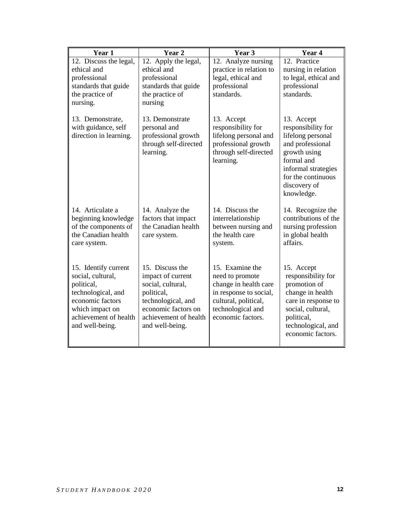| Year 1                                                                                                                                                           | Year 2                                                                                                                                                           | Year 3                                                                                                                                                  | Year 4                                                                                                                                                                             |
|------------------------------------------------------------------------------------------------------------------------------------------------------------------|------------------------------------------------------------------------------------------------------------------------------------------------------------------|---------------------------------------------------------------------------------------------------------------------------------------------------------|------------------------------------------------------------------------------------------------------------------------------------------------------------------------------------|
| 12. Discuss the legal,<br>ethical and<br>professional<br>standards that guide<br>the practice of<br>nursing.                                                     | 12. Apply the legal,<br>ethical and<br>professional<br>standards that guide<br>the practice of<br>nursing                                                        | 12. Analyze nursing<br>practice in relation to<br>legal, ethical and<br>professional<br>standards.                                                      | 12. Practice<br>nursing in relation<br>to legal, ethical and<br>professional<br>standards.                                                                                         |
| 13. Demonstrate,<br>with guidance, self<br>direction in learning.                                                                                                | 13. Demonstrate<br>personal and<br>professional growth<br>through self-directed<br>learning.                                                                     | 13. Accept<br>responsibility for<br>lifelong personal and<br>professional growth<br>through self-directed<br>learning.                                  | 13. Accept<br>responsibility for<br>lifelong personal<br>and professional<br>growth using<br>formal and<br>informal strategies<br>for the continuous<br>discovery of<br>knowledge. |
| 14. Articulate a<br>beginning knowledge<br>of the components of<br>the Canadian health<br>care system.                                                           | 14. Analyze the<br>factors that impact<br>the Canadian health<br>care system.                                                                                    | 14. Discuss the<br>interrelationship<br>between nursing and<br>the health care<br>system.                                                               | 14. Recognize the<br>contributions of the<br>nursing profession<br>in global health<br>affairs.                                                                                    |
| 15. Identify current<br>social, cultural,<br>political,<br>technological, and<br>economic factors<br>which impact on<br>achievement of health<br>and well-being. | 15. Discuss the<br>impact of current<br>social, cultural,<br>political,<br>technological, and<br>economic factors on<br>achievement of health<br>and well-being. | 15. Examine the<br>need to promote<br>change in health care<br>in response to social,<br>cultural, political,<br>technological and<br>economic factors. | 15. Accept<br>responsibility for<br>promotion of<br>change in health<br>care in response to<br>social, cultural,<br>political,<br>technological, and<br>economic factors.          |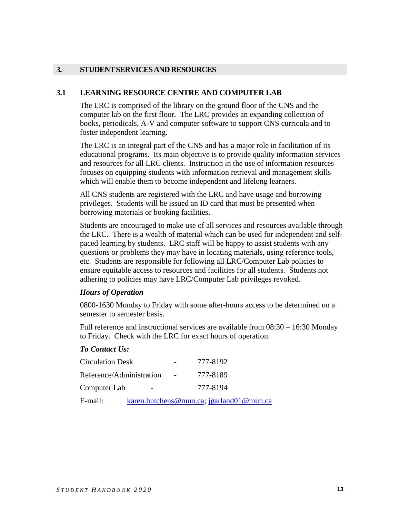#### **3. STUDENTSERVICESANDRESOURCES**

#### **3.1 LEARNING RESOURCE CENTRE AND COMPUTER LAB**

The LRC is comprised of the library on the ground floor of the CNS and the computer lab on the first floor. The LRC provides an expanding collection of books, periodicals, A-V and computer software to support CNS curricula and to foster independent learning.

The LRC is an integral part of the CNS and has a major role in facilitation of its educational programs. Its main objective is to provide quality information services and resources for all LRC clients. Instruction in the use of information resources focuses on equipping students with information retrieval and management skills which will enable them to become independent and lifelong learners.

All CNS students are registered with the LRC and have usage and borrowing privileges. Students will be issued an ID card that must be presented when borrowing materials or booking facilities.

Students are encouraged to make use of all services and resources available through the LRC. There is a wealth of material which can be used for independent and selfpaced learning by students. LRC staff will be happy to assist students with any questions or problems they may have in locating materials, using reference tools, etc. Students are responsible for following all LRC/Computer Lab policies to ensure equitable access to resources and facilities for all students. Students not adhering to policies may have LRC/Computer Lab privileges revoked.

#### *Hours of Operation*

0800-1630 Monday to Friday with some after-hours access to be determined on a semester to semester basis.

Full reference and instructional services are available from 08:30 – 16:30 Monday to Friday. Check with the LRC for exact hours of operation.

### *To Contact Us:*

| <b>Circulation Desk</b>  |                 | 777-8192                                 |
|--------------------------|-----------------|------------------------------------------|
| Reference/Administration | $\sim 10^{-10}$ | 777-8189                                 |
| Computer Lab             |                 | 777-8194                                 |
| E-mail:                  |                 | karen.hutchens@mun.ca; jgarland01@mun.ca |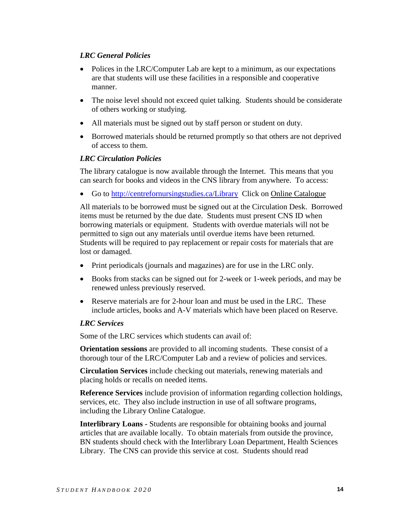## *LRC General Policies*

- Polices in the LRC/Computer Lab are kept to a minimum, as our expectations are that students will use these facilities in a responsible and cooperative manner.
- The noise level should not exceed quiet talking. Students should be considerate of others working or studying.
- All materials must be signed out by staff person or student on duty.
- Borrowed materials should be returned promptly so that others are not deprived of access to them.

### *LRC Circulation Policies*

The library catalogue is now available through the Internet. This means that you can search for books and videos in the CNS library from anywhere. To access:

Go to<http://centrefornursingstudies.ca/Library>Click on Online Catalogue

All materials to be borrowed must be signed out at the Circulation Desk. Borrowed items must be returned by the due date. Students must present CNS ID when borrowing materials or equipment. Students with overdue materials will not be permitted to sign out any materials until overdue items have been returned. Students will be required to pay replacement or repair costs for materials that are lost or damaged.

- Print periodicals (journals and magazines) are for use in the LRC only.
- Books from stacks can be signed out for 2-week or 1-week periods, and may be renewed unless previously reserved.
- Reserve materials are for 2-hour loan and must be used in the LRC. These include articles, books and A-V materials which have been placed on Reserve.

### *LRC Services*

Some of the LRC services which students can avail of:

**Orientation sessions** are provided to all incoming students. These consist of a thorough tour of the LRC/Computer Lab and a review of policies and services.

**Circulation Services** include checking out materials, renewing materials and placing holds or recalls on needed items.

**Reference Services** include provision of information regarding collection holdings, services, etc. They also include instruction in use of all software programs, including the Library Online Catalogue.

**Interlibrary Loans -** Students are responsible for obtaining books and journal articles that are available locally. To obtain materials from outside the province, BN students should check with the Interlibrary Loan Department, Health Sciences Library. The CNS can provide this service at cost. Students should read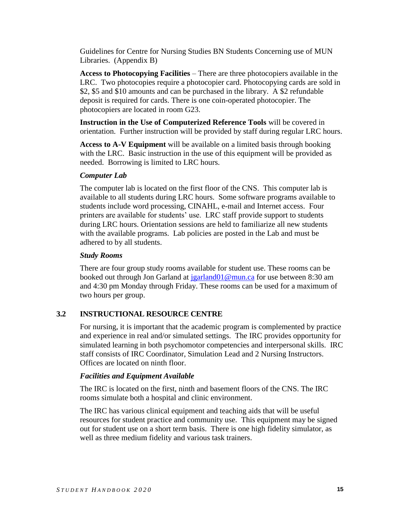Guidelines for Centre for Nursing Studies BN Students Concerning use of MUN Libraries. (Appendix B)

**Access to Photocopying Facilities** – There are three photocopiers available in the LRC. Two photocopies require a photocopier card. Photocopying cards are sold in \$2, \$5 and \$10 amounts and can be purchased in the library. A \$2 refundable deposit is required for cards. There is one coin-operated photocopier. The photocopiers are located in room G23.

**Instruction in the Use of Computerized Reference Tools** will be covered in orientation. Further instruction will be provided by staff during regular LRC hours.

**Access to A-V Equipment** will be available on a limited basis through booking with the LRC. Basic instruction in the use of this equipment will be provided as needed. Borrowing is limited to LRC hours.

### *Computer Lab*

The computer lab is located on the first floor of the CNS. This computer lab is available to all students during LRC hours. Some software programs available to students include word processing, CINAHL, e-mail and Internet access. Four printers are available for students' use. LRC staff provide support to students during LRC hours. Orientation sessions are held to familiarize all new students with the available programs. Lab policies are posted in the Lab and must be adhered to by all students.

### *Study Rooms*

There are four group study rooms available for student use. These rooms can be booked out through Jon Garland at [jgarland01@mun.ca](mailto:jgarland01@mun.ca) for use between 8:30 am and 4:30 pm Monday through Friday. These rooms can be used for a maximum of two hours per group.

## **3.2 INSTRUCTIONAL RESOURCE CENTRE**

For nursing, it is important that the academic program is complemented by practice and experience in real and/or simulated settings. The IRC provides opportunity for simulated learning in both psychomotor competencies and interpersonal skills. IRC staff consists of IRC Coordinator, Simulation Lead and 2 Nursing Instructors. Offices are located on ninth floor.

### *Facilities and Equipment Available*

The IRC is located on the first, ninth and basement floors of the CNS. The IRC rooms simulate both a hospital and clinic environment.

The IRC has various clinical equipment and teaching aids that will be useful resources for student practice and community use. This equipment may be signed out for student use on a short term basis. There is one high fidelity simulator, as well as three medium fidelity and various task trainers.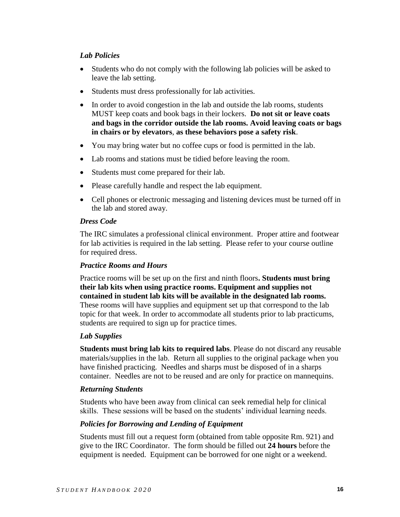## *Lab Policies*

- Students who do not comply with the following lab policies will be asked to leave the lab setting.
- Students must dress professionally for lab activities.
- In order to avoid congestion in the lab and outside the lab rooms, students MUST keep coats and book bags in their lockers. **Do not sit or leave coats and bags in the corridor outside the lab rooms. Avoid leaving coats or bags in chairs or by elevators**, **as these behaviors pose a safety risk**.
- You may bring water but no coffee cups or food is permitted in the lab.
- Lab rooms and stations must be tidied before leaving the room.
- Students must come prepared for their lab.
- Please carefully handle and respect the lab equipment.
- Cell phones or electronic messaging and listening devices must be turned off in the lab and stored away.

### *Dress Code*

The IRC simulates a professional clinical environment. Proper attire and footwear for lab activities is required in the lab setting. Please refer to your course outline for required dress.

### *Practice Rooms and Hours*

Practice rooms will be set up on the first and ninth floors**. Students must bring their lab kits when using practice rooms. Equipment and supplies not contained in student lab kits will be available in the designated lab rooms.**  These rooms will have supplies and equipment set up that correspond to the lab topic for that week. In order to accommodate all students prior to lab practicums, students are required to sign up for practice times.

### *Lab Supplies*

**Students must bring lab kits to required labs**. Please do not discard any reusable materials/supplies in the lab. Return all supplies to the original package when you have finished practicing. Needles and sharps must be disposed of in a sharps container. Needles are not to be reused and are only for practice on mannequins.

### *Returning Students*

Students who have been away from clinical can seek remedial help for clinical skills. These sessions will be based on the students' individual learning needs.

## *Policies for Borrowing and Lending of Equipment*

Students must fill out a request form (obtained from table opposite Rm. 921) and give to the IRC Coordinator. The form should be filled out **24 hours** before the equipment is needed. Equipment can be borrowed for one night or a weekend.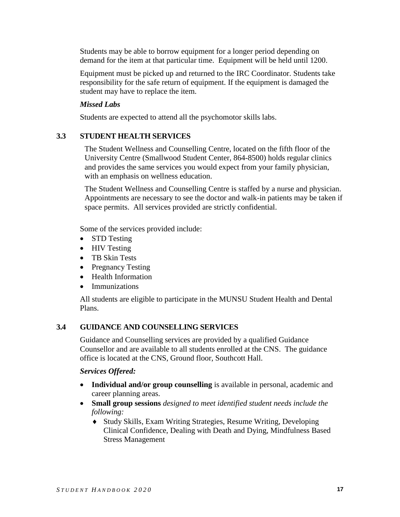Students may be able to borrow equipment for a longer period depending on demand for the item at that particular time. Equipment will be held until 1200.

Equipment must be picked up and returned to the IRC Coordinator. Students take responsibility for the safe return of equipment. If the equipment is damaged the student may have to replace the item.

## *Missed Labs*

Students are expected to attend all the psychomotor skills labs.

## **3.3 STUDENT HEALTH SERVICES**

The Student Wellness and Counselling Centre, located on the fifth floor of the University Centre (Smallwood Student Center, 864-8500) holds regular clinics and provides the same services you would expect from your family physician, with an emphasis on wellness education.

The Student Wellness and Counselling Centre is staffed by a nurse and physician. Appointments are necessary to see the doctor and walk-in patients may be taken if space permits. All services provided are strictly confidential.

Some of the services provided include:

- STD Testing
- HIV Testing
- TB Skin Tests
- Pregnancy Testing
- Health Information
- Immunizations

All students are eligible to participate in the MUNSU Student Health and Dental Plans.

## **3.4 GUIDANCE AND COUNSELLING SERVICES**

Guidance and Counselling services are provided by a qualified Guidance Counsellor and are available to all students enrolled at the CNS. The guidance office is located at the CNS, Ground floor, Southcott Hall.

### *Services Offered:*

- **Individual and/or group counselling** is available in personal, academic and career planning areas.
- **Small group sessions** *designed to meet identified student needs include the following:*
	- Study Skills, Exam Writing Strategies, Resume Writing, Developing Clinical Confidence, Dealing with Death and Dying, Mindfulness Based Stress Management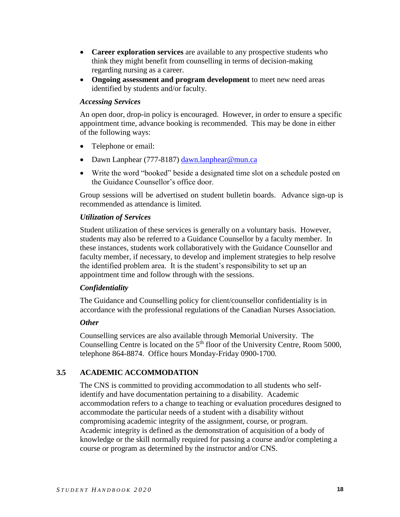- **Career exploration services** are available to any prospective students who think they might benefit from counselling in terms of decision-making regarding nursing as a career.
- **Ongoing assessment and program development** to meet new need areas identified by students and/or faculty.

#### *Accessing Services*

An open door, drop-in policy is encouraged. However, in order to ensure a specific appointment time, advance booking is recommended. This may be done in either of the following ways:

- Telephone or email:
- Dawn Lanphear (777-8187) [dawn.lanphear@mun.ca](mailto:dawn.lanphear@mun.ca)
- Write the word "booked" beside a designated time slot on a schedule posted on the Guidance Counsellor's office door.

Group sessions will be advertised on student bulletin boards. Advance sign-up is recommended as attendance is limited.

### *Utilization of Services*

Student utilization of these services is generally on a voluntary basis. However, students may also be referred to a Guidance Counsellor by a faculty member. In these instances, students work collaboratively with the Guidance Counsellor and faculty member, if necessary, to develop and implement strategies to help resolve the identified problem area. It is the student's responsibility to set up an appointment time and follow through with the sessions.

### *Confidentiality*

The Guidance and Counselling policy for client/counsellor confidentiality is in accordance with the professional regulations of the Canadian Nurses Association.

### *Other*

Counselling services are also available through Memorial University. The Counselling Centre is located on the  $5<sup>th</sup>$  floor of the University Centre, Room 5000, telephone 864-8874. Office hours Monday-Friday 0900-1700.

## **3.5 ACADEMIC ACCOMMODATION**

The CNS is committed to providing accommodation to all students who selfidentify and have documentation pertaining to a disability. Academic accommodation refers to a change to teaching or evaluation procedures designed to accommodate the particular needs of a student with a disability without compromising academic integrity of the assignment, course, or program. Academic integrity is defined as the demonstration of acquisition of a body of knowledge or the skill normally required for passing a course and/or completing a course or program as determined by the instructor and/or CNS.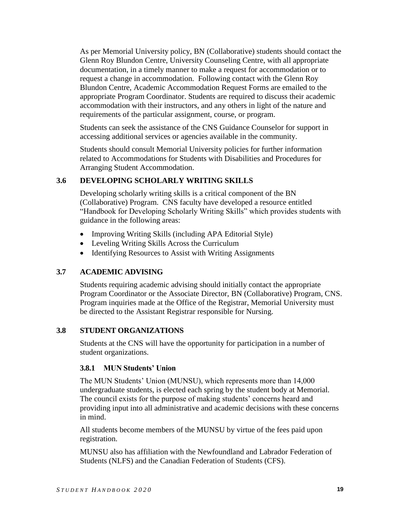As per Memorial University policy, BN (Collaborative) students should contact the Glenn Roy Blundon Centre, University Counseling Centre, with all appropriate documentation, in a timely manner to make a request for accommodation or to request a change in accommodation. Following contact with the Glenn Roy Blundon Centre, Academic Accommodation Request Forms are emailed to the appropriate Program Coordinator. Students are required to discuss their academic accommodation with their instructors, and any others in light of the nature and requirements of the particular assignment, course, or program.

Students can seek the assistance of the CNS Guidance Counselor for support in accessing additional services or agencies available in the community.

Students should consult Memorial University policies for further information related to Accommodations for Students with Disabilities and Procedures for Arranging Student Accommodation.

## **3.6 DEVELOPING SCHOLARLY WRITING SKILLS**

Developing scholarly writing skills is a critical component of the BN (Collaborative) Program. CNS faculty have developed a resource entitled "Handbook for Developing Scholarly Writing Skills" which provides students with guidance in the following areas:

- Improving Writing Skills (including APA Editorial Style)
- Leveling Writing Skills Across the Curriculum
- Identifying Resources to Assist with Writing Assignments

## **3.7 ACADEMIC ADVISING**

Students requiring academic advising should initially contact the appropriate Program Coordinator or the Associate Director, BN (Collaborative) Program, CNS. Program inquiries made at the Office of the Registrar, Memorial University must be directed to the Assistant Registrar responsible for Nursing.

## **3.8 STUDENT ORGANIZATIONS**

Students at the CNS will have the opportunity for participation in a number of student organizations.

### **3.8.1 MUN Students' Union**

The MUN Students' Union (MUNSU), which represents more than 14,000 undergraduate students, is elected each spring by the student body at Memorial. The council exists for the purpose of making students' concerns heard and providing input into all administrative and academic decisions with these concerns in mind.

All students become members of the MUNSU by virtue of the fees paid upon registration.

MUNSU also has affiliation with the Newfoundland and Labrador Federation of Students (NLFS) and the Canadian Federation of Students (CFS).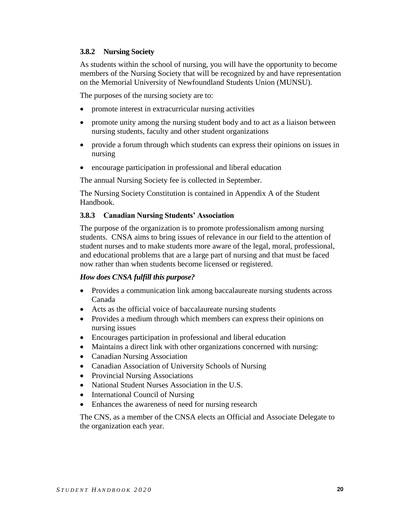### **3.8.2 Nursing Society**

As students within the school of nursing, you will have the opportunity to become members of the Nursing Society that will be recognized by and have representation on the Memorial University of Newfoundland Students Union (MUNSU).

The purposes of the nursing society are to:

- promote interest in extracurricular nursing activities
- promote unity among the nursing student body and to act as a liaison between nursing students, faculty and other student organizations
- provide a forum through which students can express their opinions on issues in nursing
- encourage participation in professional and liberal education

The annual Nursing Society fee is collected in September.

The Nursing Society Constitution is contained in Appendix A of the Student Handbook.

### **3.8.3 Canadian Nursing Students' Association**

The purpose of the organization is to promote professionalism among nursing students. CNSA aims to bring issues of relevance in our field to the attention of student nurses and to make students more aware of the legal, moral, professional, and educational problems that are a large part of nursing and that must be faced now rather than when students become licensed or registered.

### *How does CNSA fulfill this purpose?*

- Provides a communication link among baccalaureate nursing students across Canada
- Acts as the official voice of baccalaureate nursing students
- Provides a medium through which members can express their opinions on nursing issues
- Encourages participation in professional and liberal education
- Maintains a direct link with other organizations concerned with nursing:
- Canadian Nursing Association
- Canadian Association of University Schools of Nursing
- Provincial Nursing Associations
- National Student Nurses Association in the U.S.
- International Council of Nursing
- Enhances the awareness of need for nursing research

The CNS, as a member of the CNSA elects an Official and Associate Delegate to the organization each year.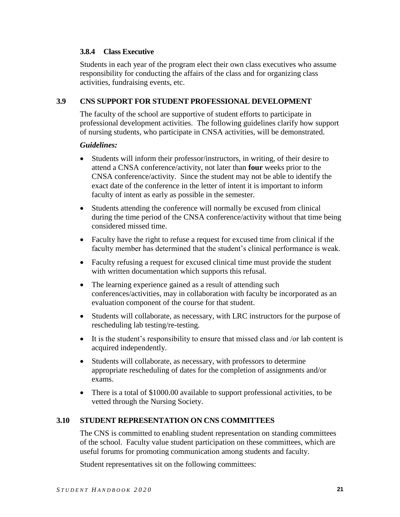### **3.8.4 Class Executive**

Students in each year of the program elect their own class executives who assume responsibility for conducting the affairs of the class and for organizing class activities, fundraising events, etc.

### **3.9 CNS SUPPORT FOR STUDENT PROFESSIONAL DEVELOPMENT**

The faculty of the school are supportive of student efforts to participate in professional development activities. The following guidelines clarify how support of nursing students, who participate in CNSA activities, will be demonstrated.

### *Guidelines:*

- Students will inform their professor/instructors, in writing, of their desire to attend a CNSA conference/activity, not later than **four** weeks prior to the CNSA conference/activity. Since the student may not be able to identify the exact date of the conference in the letter of intent it is important to inform faculty of intent as early as possible in the semester.
- Students attending the conference will normally be excused from clinical during the time period of the CNSA conference/activity without that time being considered missed time.
- Faculty have the right to refuse a request for excused time from clinical if the faculty member has determined that the student's clinical performance is weak.
- Faculty refusing a request for excused clinical time must provide the student with written documentation which supports this refusal.
- The learning experience gained as a result of attending such conferences/activities, may in collaboration with faculty be incorporated as an evaluation component of the course for that student.
- Students will collaborate, as necessary, with LRC instructors for the purpose of rescheduling lab testing/re-testing.
- $\bullet$  It is the student's responsibility to ensure that missed class and /or lab content is acquired independently.
- Students will collaborate, as necessary, with professors to determine appropriate rescheduling of dates for the completion of assignments and/or exams.
- There is a total of \$1000.00 available to support professional activities, to be vetted through the Nursing Society.

## **3.10 STUDENT REPRESENTATION ON CNS COMMITTEES**

The CNS is committed to enabling student representation on standing committees of the school. Faculty value student participation on these committees, which are useful forums for promoting communication among students and faculty.

Student representatives sit on the following committees: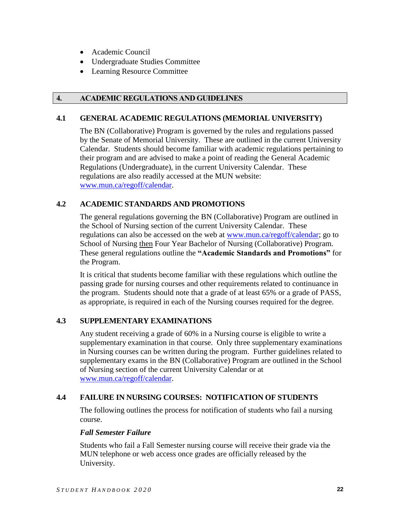- Academic Council
- Undergraduate Studies Committee
- Learning Resource Committee

## **4. ACADEMIC REGULATIONS AND GUIDELINES**

### **4.1 GENERAL ACADEMIC REGULATIONS (MEMORIAL UNIVERSITY)**

The BN (Collaborative) Program is governed by the rules and regulations passed by the Senate of Memorial University. These are outlined in the current University Calendar. Students should become familiar with academic regulations pertaining to their program and are advised to make a point of reading the General Academic Regulations (Undergraduate), in the current University Calendar. These regulations are also readily accessed at the MUN website: [www.mun.ca/regoff/calendar.](http://www.mun.ca/regoff/calendar)

### **4.2 ACADEMIC STANDARDS AND PROMOTIONS**

The general regulations governing the BN (Collaborative) Program are outlined in the School of Nursing section of the current University Calendar. These regulations can also be accessed on the web at [www.mun.ca/regoff/calendar;](http://www.mun.ca/regoff/calendar) go to School of Nursing then Four Year Bachelor of Nursing (Collaborative) Program. These general regulations outline the **"Academic Standards and Promotions"** for the Program.

It is critical that students become familiar with these regulations which outline the passing grade for nursing courses and other requirements related to continuance in the program. Students should note that a grade of at least 65% or a grade of PASS, as appropriate, is required in each of the Nursing courses required for the degree.

## **4.3 SUPPLEMENTARY EXAMINATIONS**

Any student receiving a grade of 60% in a Nursing course is eligible to write a supplementary examination in that course. Only three supplementary examinations in Nursing courses can be written during the program. Further guidelines related to supplementary exams in the BN (Collaborative) Program are outlined in the School of Nursing section of the current University Calendar or at [www.mun.ca/regoff/calendar.](http://www.mun.ca/regoff/calendar)

## **4.4 FAILURE IN NURSING COURSES: NOTIFICATION OF STUDENTS**

The following outlines the process for notification of students who fail a nursing course.

### *Fall Semester Failure*

Students who fail a Fall Semester nursing course will receive their grade via the MUN telephone or web access once grades are officially released by the University.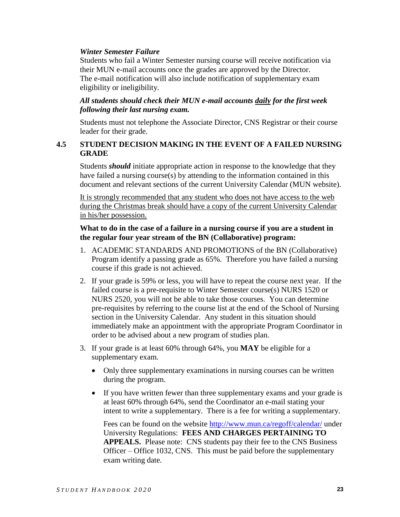### *Winter Semester Failure*

Students who fail a Winter Semester nursing course will receive notification via their MUN e-mail accounts once the grades are approved by the Director. The e-mail notification will also include notification of supplementary exam eligibility or ineligibility.

### *All students should check their MUN e-mail accounts daily for the first week following their last nursing exam.*

Students must not telephone the Associate Director, CNS Registrar or their course leader for their grade.

## **4.5 STUDENT DECISION MAKING IN THE EVENT OF A FAILED NURSING GRADE**

Students *should* initiate appropriate action in response to the knowledge that they have failed a nursing course(s) by attending to the information contained in this document and relevant sections of the current University Calendar (MUN website).

It is strongly recommended that any student who does not have access to the web during the Christmas break should have a copy of the current University Calendar in his/her possession.

#### **What to do in the case of a failure in a nursing course if you are a student in the regular four year stream of the BN (Collaborative) program:**

- 1. ACADEMIC STANDARDS AND PROMOTIONS of the BN (Collaborative) Program identify a passing grade as 65%. Therefore you have failed a nursing course if this grade is not achieved.
- 2. If your grade is 59% or less, you will have to repeat the course next year. If the failed course is a pre-requisite to Winter Semester course(s) NURS 1520 or NURS 2520, you will not be able to take those courses. You can determine pre-requisites by referring to the course list at the end of the School of Nursing section in the University Calendar. Any student in this situation should immediately make an appointment with the appropriate Program Coordinator in order to be advised about a new program of studies plan.
- 3. If your grade is at least 60% through 64%, you **MAY** be eligible for a supplementary exam.
	- Only three supplementary examinations in nursing courses can be written during the program.
	- If you have written fewer than three supplementary exams and your grade is at least 60% through 64%, send the Coordinator an e-mail stating your intent to write a supplementary. There is a fee for writing a supplementary.

Fees can be found on the website<http://www.mun.ca/regoff/calendar/> under University Regulations: **FEES AND CHARGES PERTAINING TO APPEALS.** Please note: CNS students pay their fee to the CNS Business Officer – Office 1032, CNS. This must be paid before the supplementary exam writing date.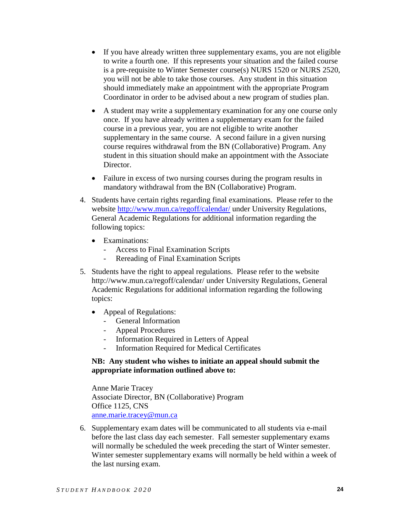- If you have already written three supplementary exams, you are not eligible to write a fourth one. If this represents your situation and the failed course is a pre-requisite to Winter Semester course(s) NURS 1520 or NURS 2520, you will not be able to take those courses. Any student in this situation should immediately make an appointment with the appropriate Program Coordinator in order to be advised about a new program of studies plan.
- A student may write a supplementary examination for any one course only once. If you have already written a supplementary exam for the failed course in a previous year, you are not eligible to write another supplementary in the same course. A second failure in a given nursing course requires withdrawal from the BN (Collaborative) Program. Any student in this situation should make an appointment with the Associate Director.
- Failure in excess of two nursing courses during the program results in mandatory withdrawal from the BN (Collaborative) Program.
- 4. Students have certain rights regarding final examinations. Please refer to the website<http://www.mun.ca/regoff/calendar/> under University Regulations, General Academic Regulations for additional information regarding the following topics:
	- Examinations:
		- Access to Final Examination Scripts
		- Rereading of Final Examination Scripts
- 5. Students have the right to appeal regulations. Please refer to the website <http://www.mun.ca/regoff/calendar/> under University Regulations, General Academic Regulations for additional information regarding the following topics:
	- Appeal of Regulations:
		- General Information
		- Appeal Procedures
		- Information Required in Letters of Appeal
		- Information Required for Medical Certificates

### **NB: Any student who wishes to initiate an appeal should submit the appropriate information outlined above to:**

Anne Marie Tracey Associate Director, BN (Collaborative) Program Office 1125, CNS [anne.marie.tracey@mun.ca](mailto:anne.marie.tracey@mun.ca)

6. Supplementary exam dates will be communicated to all students via e-mail before the last class day each semester. Fall semester supplementary exams will normally be scheduled the week preceding the start of Winter semester. Winter semester supplementary exams will normally be held within a week of the last nursing exam.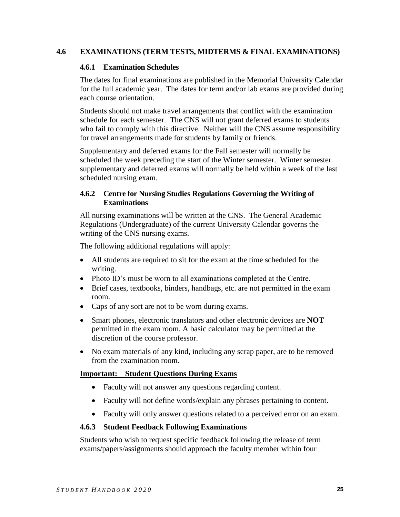## **4.6 EXAMINATIONS (TERM TESTS, MIDTERMS & FINAL EXAMINATIONS)**

#### **4.6.1 Examination Schedules**

The dates for final examinations are published in the Memorial University Calendar for the full academic year. The dates for term and/or lab exams are provided during each course orientation.

Students should not make travel arrangements that conflict with the examination schedule for each semester. The CNS will not grant deferred exams to students who fail to comply with this directive. Neither will the CNS assume responsibility for travel arrangements made for students by family or friends.

Supplementary and deferred exams for the Fall semester will normally be scheduled the week preceding the start of the Winter semester. Winter semester supplementary and deferred exams will normally be held within a week of the last scheduled nursing exam.

### **4.6.2 Centre for Nursing Studies Regulations Governing the Writing of Examinations**

All nursing examinations will be written at the CNS. The General Academic Regulations (Undergraduate) of the current University Calendar governs the writing of the CNS nursing exams.

The following additional regulations will apply:

- All students are required to sit for the exam at the time scheduled for the writing.
- Photo ID's must be worn to all examinations completed at the Centre.
- Brief cases, textbooks, binders, handbags, etc. are not permitted in the exam room.
- Caps of any sort are not to be worn during exams.
- Smart phones, electronic translators and other electronic devices are **NOT** permitted in the exam room. A basic calculator may be permitted at the discretion of the course professor.
- No exam materials of any kind, including any scrap paper, are to be removed from the examination room.

### **Important: Student Questions During Exams**

- Faculty will not answer any questions regarding content.
- Faculty will not define words/explain any phrases pertaining to content.
- Faculty will only answer questions related to a perceived error on an exam.

#### **4.6.3 Student Feedback Following Examinations**

Students who wish to request specific feedback following the release of term exams/papers/assignments should approach the faculty member within four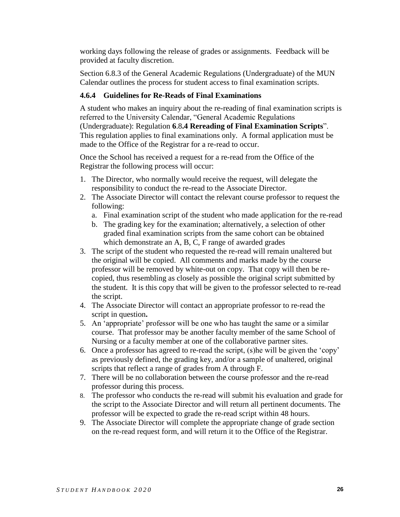working days following the release of grades or assignments. Feedback will be provided at faculty discretion.

Section 6.8.3 of the General Academic Regulations (Undergraduate) of the MUN Calendar outlines the process for student access to final examination scripts.

## **4.6.4 Guidelines for Re-Reads of Final Examinations**

A student who makes an inquiry about the re-reading of final examination scripts is referred to the University Calendar, "General Academic Regulations (Undergraduate): Regulation **6**.8**.4 Rereading of Final Examination Scripts**". This regulation applies to final examinations only. A formal application must be made to the Office of the Registrar for a re-read to occur.

Once the School has received a request for a re-read from the Office of the Registrar the following process will occur:

- 1. The Director, who normally would receive the request, will delegate the responsibility to conduct the re-read to the Associate Director.
- 2. The Associate Director will contact the relevant course professor to request the following:
	- a. Final examination script of the student who made application for the re-read
	- b. The grading key for the examination; alternatively, a selection of other graded final examination scripts from the same cohort can be obtained which demonstrate an A, B, C, F range of awarded grades
- 3. The script of the student who requested the re-read will remain unaltered but the original will be copied. All comments and marks made by the course professor will be removed by white-out on copy. That copy will then be recopied, thus resembling as closely as possible the original script submitted by the student. It is this copy that will be given to the professor selected to re-read the script.
- 4. The Associate Director will contact an appropriate professor to re-read the script in question**.**
- 5. An 'appropriate' professor will be one who has taught the same or a similar course. That professor may be another faculty member of the same School of Nursing or a faculty member at one of the collaborative partner sites.
- 6. Once a professor has agreed to re-read the script, (s)he will be given the 'copy' as previously defined, the grading key, and/or a sample of unaltered, original scripts that reflect a range of grades from A through F.
- 7. There will be no collaboration between the course professor and the re-read professor during this process.
- 8. The professor who conducts the re-read will submit his evaluation and grade for the script to the Associate Director and will return all pertinent documents. The professor will be expected to grade the re-read script within 48 hours.
- 9. The Associate Director will complete the appropriate change of grade section on the re-read request form, and will return it to the Office of the Registrar.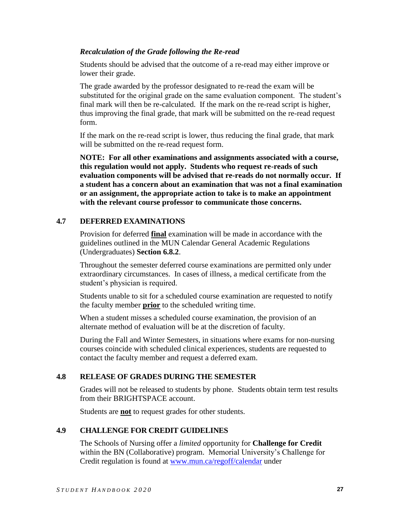### *Recalculation of the Grade following the Re-read*

Students should be advised that the outcome of a re-read may either improve or lower their grade.

The grade awarded by the professor designated to re-read the exam will be substituted for the original grade on the same evaluation component. The student's final mark will then be re-calculated. If the mark on the re-read script is higher, thus improving the final grade, that mark will be submitted on the re-read request form.

If the mark on the re-read script is lower, thus reducing the final grade, that mark will be submitted on the re-read request form.

**NOTE: For all other examinations and assignments associated with a course, this regulation would not apply. Students who request re-reads of such evaluation components will be advised that re-reads do not normally occur. If a student has a concern about an examination that was not a final examination or an assignment, the appropriate action to take is to make an appointment with the relevant course professor to communicate those concerns.**

## **4.7 DEFERRED EXAMINATIONS**

Provision for deferred **final** examination will be made in accordance with the guidelines outlined in the MUN Calendar General Academic Regulations (Undergraduates) **Section 6.8.2**.

Throughout the semester deferred course examinations are permitted only under extraordinary circumstances. In cases of illness, a medical certificate from the student's physician is required.

Students unable to sit for a scheduled course examination are requested to notify the faculty member **prior** to the scheduled writing time.

When a student misses a scheduled course examination, the provision of an alternate method of evaluation will be at the discretion of faculty.

During the Fall and Winter Semesters, in situations where exams for non-nursing courses coincide with scheduled clinical experiences, students are requested to contact the faculty member and request a deferred exam.

## **4.8 RELEASE OF GRADES DURING THE SEMESTER**

Grades will not be released to students by phone. Students obtain term test results from their BRIGHTSPACE account.

Students are **not** to request grades for other students.

## **4.9 CHALLENGE FOR CREDIT GUIDELINES**

The Schools of Nursing offer a *limited* opportunity for **Challenge for Credit** within the BN (Collaborative) program. Memorial University's Challenge for Credit regulation is found at [www.mun.ca/regoff/calendar](http://www.mun.ca/regoff/calendar) under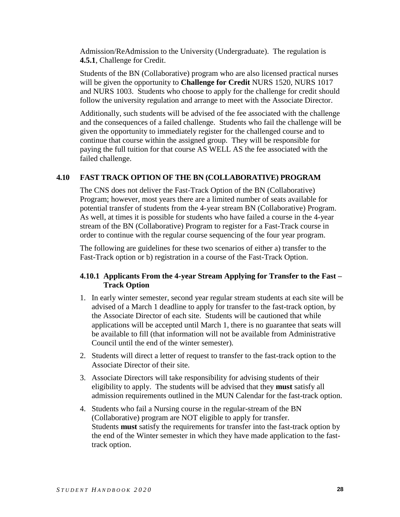Admission/ReAdmission to the University (Undergraduate). The regulation is **4.5.1**, Challenge for Credit.

Students of the BN (Collaborative) program who are also licensed practical nurses will be given the opportunity to **Challenge for Credit** NURS 1520, NURS 1017 and NURS 1003. Students who choose to apply for the challenge for credit should follow the university regulation and arrange to meet with the Associate Director.

Additionally, such students will be advised of the fee associated with the challenge and the consequences of a failed challenge. Students who fail the challenge will be given the opportunity to immediately register for the challenged course and to continue that course within the assigned group. They will be responsible for paying the full tuition for that course AS WELL AS the fee associated with the failed challenge.

### **4.10 FAST TRACK OPTION OF THE BN (COLLABORATIVE) PROGRAM**

The CNS does not deliver the Fast-Track Option of the BN (Collaborative) Program; however, most years there are a limited number of seats available for potential transfer of students from the 4-year stream BN (Collaborative) Program. As well, at times it is possible for students who have failed a course in the 4-year stream of the BN (Collaborative) Program to register for a Fast-Track course in order to continue with the regular course sequencing of the four year program.

The following are guidelines for these two scenarios of either a) transfer to the Fast-Track option or b) registration in a course of the Fast-Track Option.

## **4.10.1 Applicants From the 4-year Stream Applying for Transfer to the Fast – Track Option**

- 1. In early winter semester, second year regular stream students at each site will be advised of a March 1 deadline to apply for transfer to the fast-track option, by the Associate Director of each site. Students will be cautioned that while applications will be accepted until March 1, there is no guarantee that seats will be available to fill (that information will not be available from Administrative Council until the end of the winter semester).
- 2. Students will direct a letter of request to transfer to the fast-track option to the Associate Director of their site.
- 3. Associate Directors will take responsibility for advising students of their eligibility to apply. The students will be advised that they **must** satisfy all admission requirements outlined in the MUN Calendar for the fast-track option.
- 4. Students who fail a Nursing course in the regular-stream of the BN (Collaborative) program are NOT eligible to apply for transfer. Students **must** satisfy the requirements for transfer into the fast-track option by the end of the Winter semester in which they have made application to the fasttrack option.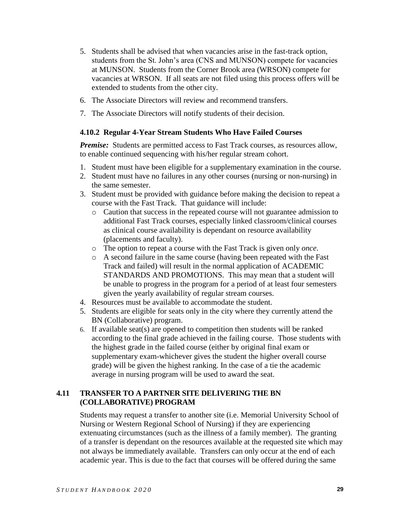- 5. Students shall be advised that when vacancies arise in the fast-track option, students from the St. John's area (CNS and MUNSON) compete for vacancies at MUNSON. Students from the Corner Brook area (WRSON) compete for vacancies at WRSON. If all seats are not filed using this process offers will be extended to students from the other city.
- 6. The Associate Directors will review and recommend transfers.
- 7. The Associate Directors will notify students of their decision.

### **4.10.2 Regular 4-Year Stream Students Who Have Failed Courses**

*Premise:* Students are permitted access to Fast Track courses, as resources allow, to enable continued sequencing with his/her regular stream cohort.

- 1. Student must have been eligible for a supplementary examination in the course.
- 2. Student must have no failures in any other courses (nursing or non-nursing) in the same semester.
- 3. Student must be provided with guidance before making the decision to repeat a course with the Fast Track. That guidance will include:
	- o Caution that success in the repeated course will not guarantee admission to additional Fast Track courses, especially linked classroom/clinical courses as clinical course availability is dependant on resource availability (placements and faculty).
	- o The option to repeat a course with the Fast Track is given only *once*.
	- o A second failure in the same course (having been repeated with the Fast Track and failed) will result in the normal application of ACADEMIC STANDARDS AND PROMOTIONS. This may mean that a student will be unable to progress in the program for a period of at least four semesters given the yearly availability of regular stream courses.
- 4. Resources must be available to accommodate the student.
- 5. Students are eligible for seats only in the city where they currently attend the BN (Collaborative) program.
- 6. If available seat(s) are opened to competition then students will be ranked according to the final grade achieved in the failing course. Those students with the highest grade in the failed course (either by original final exam or supplementary exam-whichever gives the student the higher overall course grade) will be given the highest ranking. In the case of a tie the academic average in nursing program will be used to award the seat.

## **4.11 TRANSFER TO A PARTNER SITE DELIVERING THE BN (COLLABORATIVE) PROGRAM**

Students may request a transfer to another site (i.e. Memorial University School of Nursing or Western Regional School of Nursing) if they are experiencing extenuating circumstances (such as the illness of a family member). The granting of a transfer is dependant on the resources available at the requested site which may not always be immediately available. Transfers can only occur at the end of each academic year. This is due to the fact that courses will be offered during the same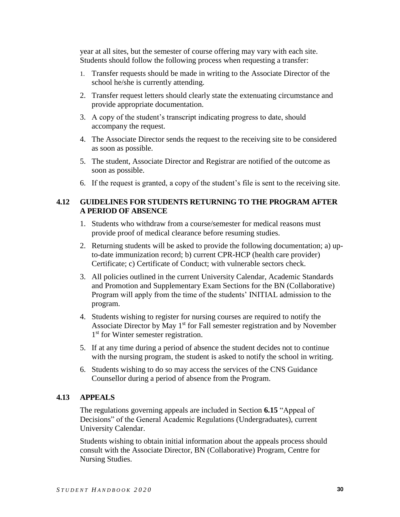year at all sites, but the semester of course offering may vary with each site. Students should follow the following process when requesting a transfer:

- 1. Transfer requests should be made in writing to the Associate Director of the school he/she is currently attending.
- 2. Transfer request letters should clearly state the extenuating circumstance and provide appropriate documentation.
- 3. A copy of the student's transcript indicating progress to date, should accompany the request.
- 4. The Associate Director sends the request to the receiving site to be considered as soon as possible.
- 5. The student, Associate Director and Registrar are notified of the outcome as soon as possible.
- 6. If the request is granted, a copy of the student's file is sent to the receiving site.

### **4.12 GUIDELINES FOR STUDENTS RETURNING TO THE PROGRAM AFTER A PERIOD OF ABSENCE**

- 1. Students who withdraw from a course/semester for medical reasons must provide proof of medical clearance before resuming studies.
- 2. Returning students will be asked to provide the following documentation; a) upto-date immunization record; b) current CPR-HCP (health care provider) Certificate; c) Certificate of Conduct; with vulnerable sectors check.
- 3. All policies outlined in the current University Calendar, Academic Standards and Promotion and Supplementary Exam Sections for the BN (Collaborative) Program will apply from the time of the students' INITIAL admission to the program.
- 4. Students wishing to register for nursing courses are required to notify the Associate Director by May  $1<sup>st</sup>$  for Fall semester registration and by November 1<sup>st</sup> for Winter semester registration.
- 5. If at any time during a period of absence the student decides not to continue with the nursing program, the student is asked to notify the school in writing.
- 6. Students wishing to do so may access the services of the CNS Guidance Counsellor during a period of absence from the Program.

### **4.13 APPEALS**

The regulations governing appeals are included in Section **6.15** "Appeal of Decisions" of the General Academic Regulations (Undergraduates), current University Calendar.

Students wishing to obtain initial information about the appeals process should consult with the Associate Director, BN (Collaborative) Program, Centre for Nursing Studies.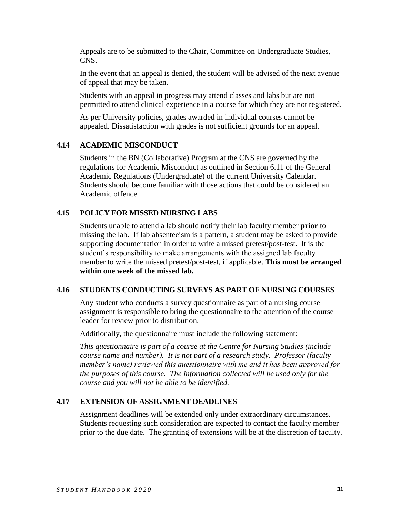Appeals are to be submitted to the Chair, Committee on Undergraduate Studies, CNS.

In the event that an appeal is denied, the student will be advised of the next avenue of appeal that may be taken.

Students with an appeal in progress may attend classes and labs but are not permitted to attend clinical experience in a course for which they are not registered.

As per University policies, grades awarded in individual courses cannot be appealed. Dissatisfaction with grades is not sufficient grounds for an appeal.

### **4.14 ACADEMIC MISCONDUCT**

Students in the BN (Collaborative) Program at the CNS are governed by the regulations for Academic Misconduct as outlined in Section 6.11 of the General Academic Regulations (Undergraduate) of the current University Calendar. Students should become familiar with those actions that could be considered an Academic offence.

### **4.15 POLICY FOR MISSED NURSING LABS**

Students unable to attend a lab should notify their lab faculty member **prior** to missing the lab. If lab absenteeism is a pattern, a student may be asked to provide supporting documentation in order to write a missed pretest/post-test. It is the student's responsibility to make arrangements with the assigned lab faculty member to write the missed pretest/post-test, if applicable. **This must be arranged within one week of the missed lab.**

### **4.16 STUDENTS CONDUCTING SURVEYS AS PART OF NURSING COURSES**

Any student who conducts a survey questionnaire as part of a nursing course assignment is responsible to bring the questionnaire to the attention of the course leader for review prior to distribution.

Additionally, the questionnaire must include the following statement:

*This questionnaire is part of a course at the Centre for Nursing Studies (include course name and number). It is not part of a research study. Professor (faculty member's name) reviewed this questionnaire with me and it has been approved for the purposes of this course. The information collected will be used only for the course and you will not be able to be identified.*

## **4.17 EXTENSION OF ASSIGNMENT DEADLINES**

Assignment deadlines will be extended only under extraordinary circumstances. Students requesting such consideration are expected to contact the faculty member prior to the due date. The granting of extensions will be at the discretion of faculty.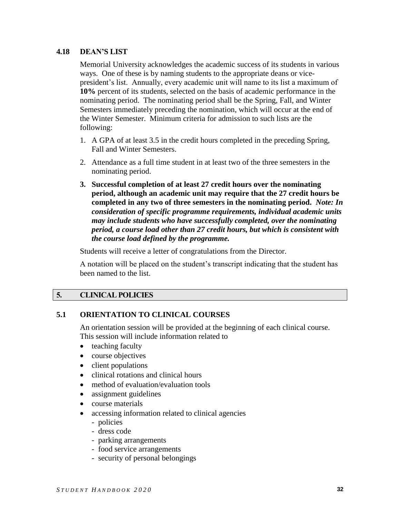### **4.18 DEAN'S LIST**

Memorial University acknowledges the academic success of its students in various ways. One of these is by naming students to the appropriate deans or vicepresident's list. Annually, every academic unit will name to its list a maximum of **10%** percent of its students, selected on the basis of academic performance in the nominating period. The nominating period shall be the Spring, Fall, and Winter Semesters immediately preceding the nomination, which will occur at the end of the Winter Semester. Minimum criteria for admission to such lists are the following:

- 1. A GPA of at least 3.5 in the credit hours completed in the preceding Spring, Fall and Winter Semesters.
- 2. Attendance as a full time student in at least two of the three semesters in the nominating period.
- **3. Successful completion of at least 27 credit hours over the nominating period, although an academic unit may require that the 27 credit hours be completed in any two of three semesters in the nominating period.** *Note: In consideration of specific programme requirements, individual academic units may include students who have successfully completed, over the nominating period, a course load other than 27 credit hours, but which is consistent with the course load defined by the programme.*

Students will receive a letter of congratulations from the Director.

A notation will be placed on the student's transcript indicating that the student has been named to the list.

## **5. CLINICAL POLICIES**

## **5.1 ORIENTATION TO CLINICAL COURSES**

An orientation session will be provided at the beginning of each clinical course. This session will include information related to

- $\bullet$  teaching faculty
- course objectives
- client populations
- clinical rotations and clinical hours
- method of evaluation/evaluation tools
- assignment guidelines
- course materials
- accessing information related to clinical agencies
	- policies
	- dress code
	- parking arrangements
	- food service arrangements
	- security of personal belongings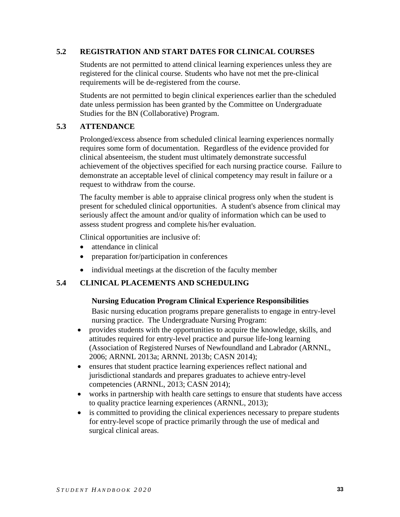## **5.2 REGISTRATION AND START DATES FOR CLINICAL COURSES**

Students are not permitted to attend clinical learning experiences unless they are registered for the clinical course. Students who have not met the pre-clinical requirements will be de-registered from the course.

Students are not permitted to begin clinical experiences earlier than the scheduled date unless permission has been granted by the Committee on Undergraduate Studies for the BN (Collaborative) Program.

### **5.3 ATTENDANCE**

Prolonged/excess absence from scheduled clinical learning experiences normally requires some form of documentation. Regardless of the evidence provided for clinical absenteeism, the student must ultimately demonstrate successful achievement of the objectives specified for each nursing practice course. Failure to demonstrate an acceptable level of clinical competency may result in failure or a request to withdraw from the course.

The faculty member is able to appraise clinical progress only when the student is present for scheduled clinical opportunities. A student's absence from clinical may seriously affect the amount and/or quality of information which can be used to assess student progress and complete his/her evaluation.

Clinical opportunities are inclusive of:

- attendance in clinical
- preparation for/participation in conferences
- individual meetings at the discretion of the faculty member

### **5.4 CLINICAL PLACEMENTS AND SCHEDULING**

### **Nursing Education Program Clinical Experience Responsibilities**

Basic nursing education programs prepare generalists to engage in entry-level nursing practice. The Undergraduate Nursing Program:

- provides students with the opportunities to acquire the knowledge, skills, and attitudes required for entry-level practice and pursue life-long learning (Association of Registered Nurses of Newfoundland and Labrador (ARNNL, 2006; ARNNL 2013a; ARNNL 2013b; CASN 2014);
- ensures that student practice learning experiences reflect national and jurisdictional standards and prepares graduates to achieve entry-level competencies (ARNNL, 2013; CASN 2014);
- works in partnership with health care settings to ensure that students have access to quality practice learning experiences (ARNNL, 2013);
- is committed to providing the clinical experiences necessary to prepare students for entry-level scope of practice primarily through the use of medical and surgical clinical areas.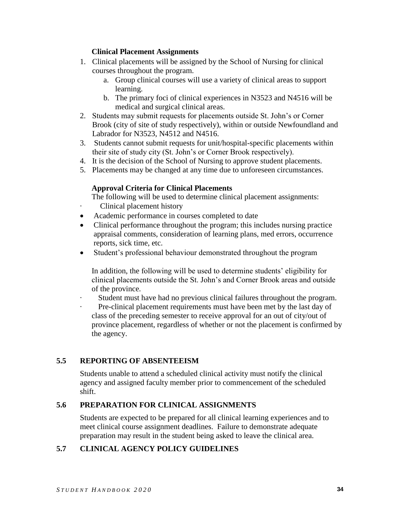### **Clinical Placement Assignments**

- 1. Clinical placements will be assigned by the School of Nursing for clinical courses throughout the program.
	- a. Group clinical courses will use a variety of clinical areas to support learning.
	- b. The primary foci of clinical experiences in N3523 and N4516 will be medical and surgical clinical areas.
- 2. Students may submit requests for placements outside St. John's or Corner Brook (city of site of study respectively), within or outside Newfoundland and Labrador for N3523, N4512 and N4516.
- 3. Students cannot submit requests for unit/hospital-specific placements within their site of study city (St. John's or Corner Brook respectively).
- 4. It is the decision of the School of Nursing to approve student placements.
- 5. Placements may be changed at any time due to unforeseen circumstances.

### **Approval Criteria for Clinical Placements**

The following will be used to determine clinical placement assignments:

- · Clinical placement history
- Academic performance in courses completed to date
- Clinical performance throughout the program; this includes nursing practice appraisal comments, consideration of learning plans, med errors, occurrence reports, sick time, etc.
- Student's professional behaviour demonstrated throughout the program

In addition, the following will be used to determine students' eligibility for clinical placements outside the St. John's and Corner Brook areas and outside of the province.

Student must have had no previous clinical failures throughout the program.

Pre-clinical placement requirements must have been met by the last day of class of the preceding semester to receive approval for an out of city/out of province placement, regardless of whether or not the placement is confirmed by the agency.

## **5.5 REPORTING OF ABSENTEEISM**

Students unable to attend a scheduled clinical activity must notify the clinical agency and assigned faculty member prior to commencement of the scheduled shift.

## **5.6 PREPARATION FOR CLINICAL ASSIGNMENTS**

Students are expected to be prepared for all clinical learning experiences and to meet clinical course assignment deadlines. Failure to demonstrate adequate preparation may result in the student being asked to leave the clinical area.

## **5.7 CLINICAL AGENCY POLICY GUIDELINES**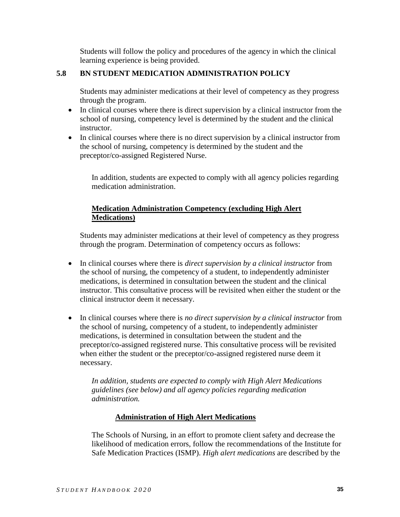Students will follow the policy and procedures of the agency in which the clinical learning experience is being provided.

## **5.8 BN STUDENT MEDICATION ADMINISTRATION POLICY**

Students may administer medications at their level of competency as they progress through the program.

- In clinical courses where there is direct supervision by a clinical instructor from the school of nursing, competency level is determined by the student and the clinical instructor.
- In clinical courses where there is no direct supervision by a clinical instructor from the school of nursing, competency is determined by the student and the preceptor/co-assigned Registered Nurse.

In addition, students are expected to comply with all agency policies regarding medication administration.

## **Medication Administration Competency (excluding High Alert Medications)**

Students may administer medications at their level of competency as they progress through the program. Determination of competency occurs as follows:

- In clinical courses where there is *direct supervision by a clinical instructor* from the school of nursing, the competency of a student, to independently administer medications, is determined in consultation between the student and the clinical instructor. This consultative process will be revisited when either the student or the clinical instructor deem it necessary.
- In clinical courses where there is *no direct supervision by a clinical instructor* from the school of nursing, competency of a student, to independently administer medications, is determined in consultation between the student and the preceptor/co-assigned registered nurse. This consultative process will be revisited when either the student or the preceptor/co-assigned registered nurse deem it necessary.

*In addition, students are expected to comply with High Alert Medications guidelines (see below) and all agency policies regarding medication administration.* 

## **Administration of High Alert Medications**

The Schools of Nursing, in an effort to promote client safety and decrease the likelihood of medication errors, follow the recommendations of the Institute for Safe Medication Practices (ISMP). *High alert medications* are described by the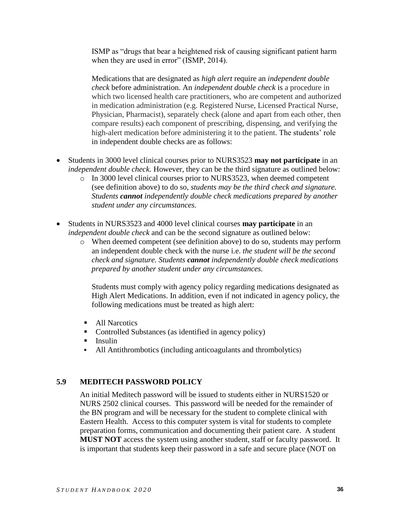ISMP as "drugs that bear a heightened risk of causing significant patient harm when they are used in error" (ISMP, 2014).

Medications that are designated as *high alert* require an *independent double check* before administration. An *independent double check* is a procedure in which two licensed health care practitioners, who are competent and authorized in medication administration (e.g. Registered Nurse, Licensed Practical Nurse, Physician, Pharmacist), separately check (alone and apart from each other, then compare results) each component of prescribing, dispensing, and verifying the high-alert medication before administering it to the patient. The students' role in independent double checks are as follows:

- Students in 3000 level clinical courses prior to NURS3523 **may not participate** in an *independent double check.* However, they can be the third signature as outlined below:
	- o In 3000 level clinical courses prior to NURS3523, when deemed competent (see definition above) to do so, *students may be the third check and signature. Students cannot independently double check medications prepared by another student under any circumstances.*
- Students in NURS3523 and 4000 level clinical courses **may participate** in an *independent double check* and can be the second signature as outlined below:
	- o When deemed competent (see definition above) to do so, students may perform an independent double check with the nurse i.e. *the student will be the second check and signature. Students cannot independently double check medications prepared by another student under any circumstances.*

Students must comply with agency policy regarding medications designated as High Alert Medications. In addition, even if not indicated in agency policy, the following medications must be treated as high alert:

- All Narcotics
- Controlled Substances (as identified in agency policy)
- **Insulin**
- All Antithrombotics (including anticoagulants and thrombolytics)

## **5.9 MEDITECH PASSWORD POLICY**

An initial Meditech password will be issued to students either in NURS1520 or NURS 2502 clinical courses. This password will be needed for the remainder of the BN program and will be necessary for the student to complete clinical with Eastern Health. Access to this computer system is vital for students to complete preparation forms, communication and documenting their patient care. A student **MUST NOT** access the system using another student, staff or faculty password. It is important that students keep their password in a safe and secure place (NOT on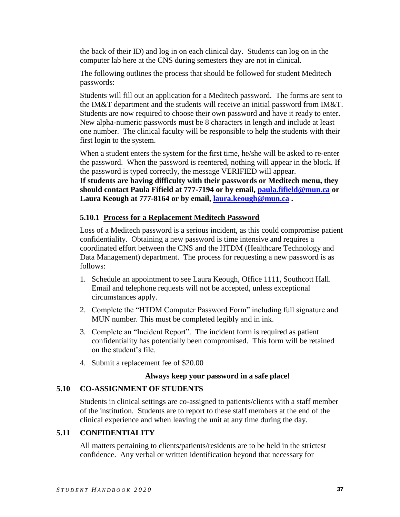the back of their ID) and log in on each clinical day. Students can log on in the computer lab here at the CNS during semesters they are not in clinical.

The following outlines the process that should be followed for student Meditech passwords:

Students will fill out an application for a Meditech password. The forms are sent to the IM&T department and the students will receive an initial password from IM&T. Students are now required to choose their own password and have it ready to enter. New alpha-numeric passwords must be 8 characters in length and include at least one number. The clinical faculty will be responsible to help the students with their first login to the system.

When a student enters the system for the first time, he/she will be asked to re-enter the password. When the password is reentered, nothing will appear in the block. If the password is typed correctly, the message VERIFIED will appear.

**If students are having difficulty with their passwords or Meditech menu, they should contact Paula Fifield at 777-7194 or by email, [paula.fifield@mun.ca](mailto:paula.fifield@mun.ca) or Laura Keough at 777-8164 or by email, [laura.keough@mun.ca](mailto:laura.keough@mun.ca) .**

## **5.10.1 Process for a Replacement Meditech Password**

Loss of a Meditech password is a serious incident, as this could compromise patient confidentiality. Obtaining a new password is time intensive and requires a coordinated effort between the CNS and the HTDM (Healthcare Technology and Data Management) department. The process for requesting a new password is as follows:

- 1. Schedule an appointment to see Laura Keough, Office 1111, Southcott Hall. Email and telephone requests will not be accepted, unless exceptional circumstances apply.
- 2. Complete the "HTDM Computer Password Form" including full signature and MUN number. This must be completed legibly and in ink.
- 3. Complete an "Incident Report". The incident form is required as patient confidentiality has potentially been compromised. This form will be retained on the student's file.
- 4. Submit a replacement fee of \$20.00

## **Always keep your password in a safe place!**

## **5.10 CO-ASSIGNMENT OF STUDENTS**

Students in clinical settings are co-assigned to patients/clients with a staff member of the institution. Students are to report to these staff members at the end of the clinical experience and when leaving the unit at any time during the day.

## **5.11 CONFIDENTIALITY**

All matters pertaining to clients/patients/residents are to be held in the strictest confidence. Any verbal or written identification beyond that necessary for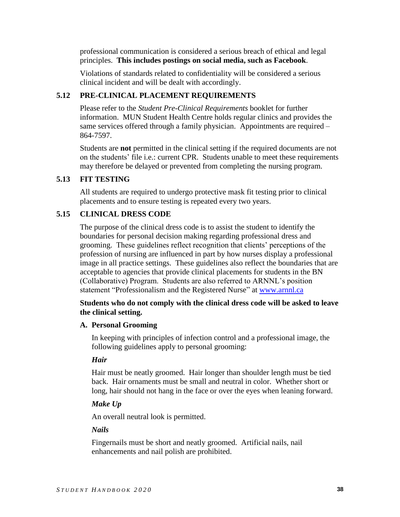professional communication is considered a serious breach of ethical and legal principles. **This includes postings on social media, such as Facebook**.

Violations of standards related to confidentiality will be considered a serious clinical incident and will be dealt with accordingly.

## **5.12 PRE-CLINICAL PLACEMENT REQUIREMENTS**

Please refer to the *Student Pre-Clinical Requirements* booklet for further information. MUN Student Health Centre holds regular clinics and provides the same services offered through a family physician. Appointments are required – 864-7597.

Students are **not** permitted in the clinical setting if the required documents are not on the students' file i.e.: current CPR. Students unable to meet these requirements may therefore be delayed or prevented from completing the nursing program.

## **5.13 FIT TESTING**

All students are required to undergo protective mask fit testing prior to clinical placements and to ensure testing is repeated every two years.

## **5.15 CLINICAL DRESS CODE**

The purpose of the clinical dress code is to assist the student to identify the boundaries for personal decision making regarding professional dress and grooming. These guidelines reflect recognition that clients' perceptions of the profession of nursing are influenced in part by how nurses display a professional image in all practice settings. These guidelines also reflect the boundaries that are acceptable to agencies that provide clinical placements for students in the BN (Collaborative) Program. Students are also referred to ARNNL's position statement "Professionalism and the Registered Nurse" at [www.arnnl.ca](http://www.arnnl.ca/)

## **Students who do not comply with the clinical dress code will be asked to leave the clinical setting.**

### **A. Personal Grooming**

In keeping with principles of infection control and a professional image, the following guidelines apply to personal grooming:

### *Hair*

Hair must be neatly groomed. Hair longer than shoulder length must be tied back. Hair ornaments must be small and neutral in color. Whether short or long, hair should not hang in the face or over the eyes when leaning forward.

## *Make Up*

An overall neutral look is permitted.

## *Nails*

Fingernails must be short and neatly groomed. Artificial nails, nail enhancements and nail polish are prohibited.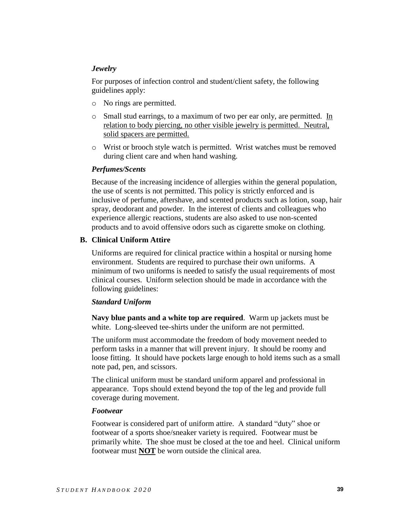### *Jewelry*

For purposes of infection control and student/client safety, the following guidelines apply:

- o No rings are permitted.
- o Small stud earrings, to a maximum of two per ear only, are permitted. In relation to body piercing, no other visible jewelry is permitted. Neutral, solid spacers are permitted.
- o Wrist or brooch style watch is permitted. Wrist watches must be removed during client care and when hand washing.

### *Perfumes/Scents*

Because of the increasing incidence of allergies within the general population, the use of scents is not permitted. This policy is strictly enforced and is inclusive of perfume, aftershave, and scented products such as lotion, soap, hair spray, deodorant and powder. In the interest of clients and colleagues who experience allergic reactions, students are also asked to use non-scented products and to avoid offensive odors such as cigarette smoke on clothing.

### **B. Clinical Uniform Attire**

Uniforms are required for clinical practice within a hospital or nursing home environment. Students are required to purchase their own uniforms. A minimum of two uniforms is needed to satisfy the usual requirements of most clinical courses. Uniform selection should be made in accordance with the following guidelines:

### *Standard Uniform*

**Navy blue pants and a white top are required**. Warm up jackets must be white. Long-sleeved tee-shirts under the uniform are not permitted.

The uniform must accommodate the freedom of body movement needed to perform tasks in a manner that will prevent injury. It should be roomy and loose fitting. It should have pockets large enough to hold items such as a small note pad, pen, and scissors.

The clinical uniform must be standard uniform apparel and professional in appearance. Tops should extend beyond the top of the leg and provide full coverage during movement.

### *Footwear*

Footwear is considered part of uniform attire. A standard "duty" shoe or footwear of a sports shoe/sneaker variety is required. Footwear must be primarily white. The shoe must be closed at the toe and heel. Clinical uniform footwear must **NOT** be worn outside the clinical area.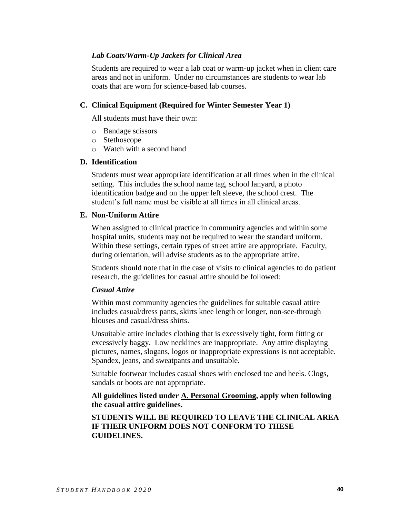### *Lab Coats/Warm-Up Jackets for Clinical Area*

Students are required to wear a lab coat or warm-up jacket when in client care areas and not in uniform. Under no circumstances are students to wear lab coats that are worn for science-based lab courses.

#### **C. Clinical Equipment (Required for Winter Semester Year 1)**

All students must have their own:

- o Bandage scissors
- o Stethoscope
- o Watch with a second hand

#### **D. Identification**

Students must wear appropriate identification at all times when in the clinical setting. This includes the school name tag, school lanyard, a photo identification badge and on the upper left sleeve, the school crest. The student's full name must be visible at all times in all clinical areas.

#### **E. Non-Uniform Attire**

When assigned to clinical practice in community agencies and within some hospital units, students may not be required to wear the standard uniform. Within these settings, certain types of street attire are appropriate. Faculty, during orientation, will advise students as to the appropriate attire.

Students should note that in the case of visits to clinical agencies to do patient research, the guidelines for casual attire should be followed:

#### *Casual Attire*

Within most community agencies the guidelines for suitable casual attire includes casual/dress pants, skirts knee length or longer, non-see-through blouses and casual/dress shirts.

Unsuitable attire includes clothing that is excessively tight, form fitting or excessively baggy. Low necklines are inappropriate. Any attire displaying pictures, names, slogans, logos or inappropriate expressions is not acceptable. Spandex, jeans, and sweatpants and unsuitable.

Suitable footwear includes casual shoes with enclosed toe and heels. Clogs, sandals or boots are not appropriate.

**All guidelines listed under A. Personal Grooming, apply when following the casual attire guidelines.**

**STUDENTS WILL BE REQUIRED TO LEAVE THE CLINICAL AREA IF THEIR UNIFORM DOES NOT CONFORM TO THESE GUIDELINES.**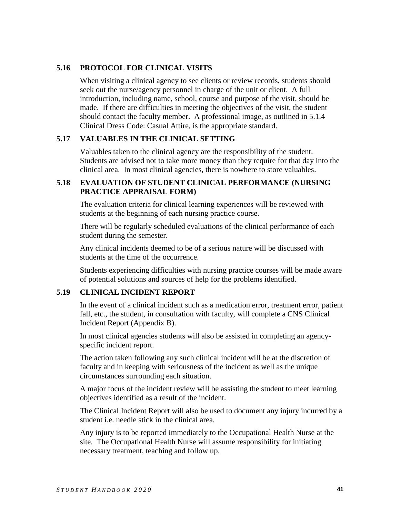## **5.16 PROTOCOL FOR CLINICAL VISITS**

When visiting a clinical agency to see clients or review records, students should seek out the nurse/agency personnel in charge of the unit or client. A full introduction, including name, school, course and purpose of the visit, should be made. If there are difficulties in meeting the objectives of the visit, the student should contact the faculty member. A professional image, as outlined in 5.1.4 Clinical Dress Code: Casual Attire, is the appropriate standard.

### **5.17 VALUABLES IN THE CLINICAL SETTING**

Valuables taken to the clinical agency are the responsibility of the student. Students are advised not to take more money than they require for that day into the clinical area. In most clinical agencies, there is nowhere to store valuables.

## **5.18 EVALUATION OF STUDENT CLINICAL PERFORMANCE (NURSING PRACTICE APPRAISAL FORM)**

The evaluation criteria for clinical learning experiences will be reviewed with students at the beginning of each nursing practice course.

There will be regularly scheduled evaluations of the clinical performance of each student during the semester.

Any clinical incidents deemed to be of a serious nature will be discussed with students at the time of the occurrence.

Students experiencing difficulties with nursing practice courses will be made aware of potential solutions and sources of help for the problems identified.

### **5.19 CLINICAL INCIDENT REPORT**

In the event of a clinical incident such as a medication error, treatment error, patient fall, etc., the student, in consultation with faculty, will complete a CNS Clinical Incident Report (Appendix B).

In most clinical agencies students will also be assisted in completing an agencyspecific incident report.

The action taken following any such clinical incident will be at the discretion of faculty and in keeping with seriousness of the incident as well as the unique circumstances surrounding each situation.

A major focus of the incident review will be assisting the student to meet learning objectives identified as a result of the incident.

The Clinical Incident Report will also be used to document any injury incurred by a student i.e. needle stick in the clinical area.

Any injury is to be reported immediately to the Occupational Health Nurse at the site. The Occupational Health Nurse will assume responsibility for initiating necessary treatment, teaching and follow up.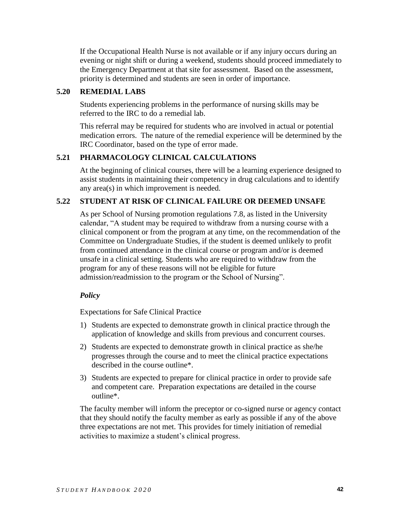If the Occupational Health Nurse is not available or if any injury occurs during an evening or night shift or during a weekend, students should proceed immediately to the Emergency Department at that site for assessment. Based on the assessment, priority is determined and students are seen in order of importance.

## **5.20 REMEDIAL LABS**

Students experiencing problems in the performance of nursing skills may be referred to the IRC to do a remedial lab.

This referral may be required for students who are involved in actual or potential medication errors. The nature of the remedial experience will be determined by the IRC Coordinator, based on the type of error made.

## **5.21 PHARMACOLOGY CLINICAL CALCULATIONS**

At the beginning of clinical courses, there will be a learning experience designed to assist students in maintaining their competency in drug calculations and to identify any area(s) in which improvement is needed.

## **5.22 STUDENT AT RISK OF CLINICAL FAILURE OR DEEMED UNSAFE**

As per School of Nursing promotion regulations 7.8, as listed in the University calendar, "A student may be required to withdraw from a nursing course with a clinical component or from the program at any time, on the recommendation of the Committee on Undergraduate Studies, if the student is deemed unlikely to profit from continued attendance in the clinical course or program and/or is deemed unsafe in a clinical setting. Students who are required to withdraw from the program for any of these reasons will not be eligible for future admission/readmission to the program or the School of Nursing".

## *Policy*

Expectations for Safe Clinical Practice

- 1) Students are expected to demonstrate growth in clinical practice through the application of knowledge and skills from previous and concurrent courses.
- 2) Students are expected to demonstrate growth in clinical practice as she/he progresses through the course and to meet the clinical practice expectations described in the course outline\*.
- 3) Students are expected to prepare for clinical practice in order to provide safe and competent care. Preparation expectations are detailed in the course outline\*.

The faculty member will inform the preceptor or co-signed nurse or agency contact that they should notify the faculty member as early as possible if any of the above three expectations are not met. This provides for timely initiation of remedial activities to maximize a student's clinical progress.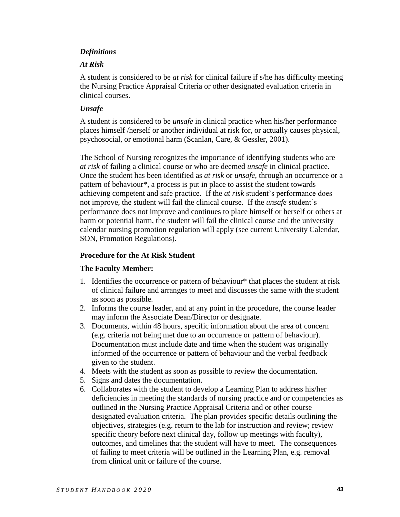### *Definitions*

### *At Risk*

A student is considered to be *at risk* for clinical failure if s/he has difficulty meeting the Nursing Practice Appraisal Criteria or other designated evaluation criteria in clinical courses.

## *Unsafe*

A student is considered to be *unsafe* in clinical practice when his/her performance places himself /herself or another individual at risk for, or actually causes physical, psychosocial, or emotional harm (Scanlan, Care, & Gessler, 2001).

The School of Nursing recognizes the importance of identifying students who are *at risk* of failing a clinical course or who are deemed *unsafe* in clinical practice. Once the student has been identified as *at risk* or *unsafe*, through an occurrence or a pattern of behaviour\*, a process is put in place to assist the student towards achieving competent and safe practice. If the *at risk* student's performance does not improve, the student will fail the clinical course. If the *unsafe* student's performance does not improve and continues to place himself or herself or others at harm or potential harm, the student will fail the clinical course and the university calendar nursing promotion regulation will apply (see current University Calendar, SON, Promotion Regulations).

## **Procedure for the At Risk Student**

## **The Faculty Member:**

- 1. Identifies the occurrence or pattern of behaviour\* that places the student at risk of clinical failure and arranges to meet and discusses the same with the student as soon as possible.
- 2. Informs the course leader, and at any point in the procedure, the course leader may inform the Associate Dean/Director or designate.
- 3. Documents, within 48 hours, specific information about the area of concern (e.g. criteria not being met due to an occurrence or pattern of behaviour). Documentation must include date and time when the student was originally informed of the occurrence or pattern of behaviour and the verbal feedback given to the student.
- 4. Meets with the student as soon as possible to review the documentation.
- 5. Signs and dates the documentation.
- 6. Collaborates with the student to develop a Learning Plan to address his/her deficiencies in meeting the standards of nursing practice and or competencies as outlined in the Nursing Practice Appraisal Criteria and or other course designated evaluation criteria. The plan provides specific details outlining the objectives, strategies (e.g. return to the lab for instruction and review; review specific theory before next clinical day, follow up meetings with faculty), outcomes, and timelines that the student will have to meet. The consequences of failing to meet criteria will be outlined in the Learning Plan, e.g. removal from clinical unit or failure of the course.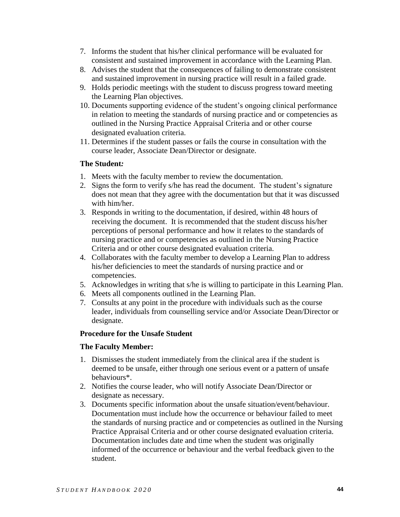- 7. Informs the student that his/her clinical performance will be evaluated for consistent and sustained improvement in accordance with the Learning Plan.
- 8. Advises the student that the consequences of failing to demonstrate consistent and sustained improvement in nursing practice will result in a failed grade.
- 9. Holds periodic meetings with the student to discuss progress toward meeting the Learning Plan objectives.
- 10. Documents supporting evidence of the student's ongoing clinical performance in relation to meeting the standards of nursing practice and or competencies as outlined in the Nursing Practice Appraisal Criteria and or other course designated evaluation criteria.
- 11. Determines if the student passes or fails the course in consultation with the course leader, Associate Dean/Director or designate.

### **The Student***:*

- 1. Meets with the faculty member to review the documentation.
- 2. Signs the form to verify s/he has read the document. The student's signature does not mean that they agree with the documentation but that it was discussed with him/her.
- 3. Responds in writing to the documentation, if desired, within 48 hours of receiving the document. It is recommended that the student discuss his/her perceptions of personal performance and how it relates to the standards of nursing practice and or competencies as outlined in the Nursing Practice Criteria and or other course designated evaluation criteria.
- 4. Collaborates with the faculty member to develop a Learning Plan to address his/her deficiencies to meet the standards of nursing practice and or competencies.
- 5. Acknowledges in writing that s/he is willing to participate in this Learning Plan.
- 6. Meets all components outlined in the Learning Plan.
- 7. Consults at any point in the procedure with individuals such as the course leader, individuals from counselling service and/or Associate Dean/Director or designate.

### **Procedure for the Unsafe Student**

### **The Faculty Member:**

- 1. Dismisses the student immediately from the clinical area if the student is deemed to be unsafe, either through one serious event or a pattern of unsafe behaviours\*.
- 2. Notifies the course leader, who will notify Associate Dean/Director or designate as necessary.
- 3. Documents specific information about the unsafe situation/event/behaviour. Documentation must include how the occurrence or behaviour failed to meet the standards of nursing practice and or competencies as outlined in the Nursing Practice Appraisal Criteria and or other course designated evaluation criteria. Documentation includes date and time when the student was originally informed of the occurrence or behaviour and the verbal feedback given to the student.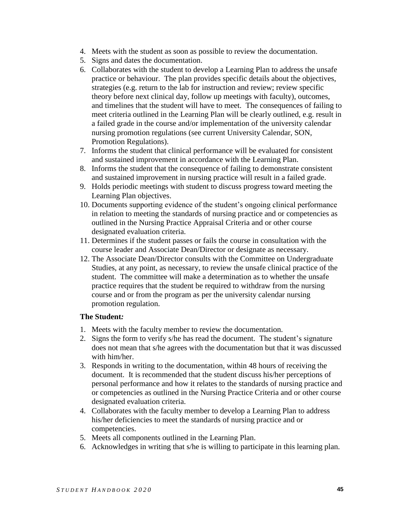- 4. Meets with the student as soon as possible to review the documentation.
- 5. Signs and dates the documentation.
- 6. Collaborates with the student to develop a Learning Plan to address the unsafe practice or behaviour. The plan provides specific details about the objectives, strategies (e.g. return to the lab for instruction and review; review specific theory before next clinical day, follow up meetings with faculty), outcomes, and timelines that the student will have to meet. The consequences of failing to meet criteria outlined in the Learning Plan will be clearly outlined, e.g. result in a failed grade in the course and/or implementation of the university calendar nursing promotion regulations (see current University Calendar, SON, Promotion Regulations).
- 7. Informs the student that clinical performance will be evaluated for consistent and sustained improvement in accordance with the Learning Plan.
- 8. Informs the student that the consequence of failing to demonstrate consistent and sustained improvement in nursing practice will result in a failed grade.
- 9. Holds periodic meetings with student to discuss progress toward meeting the Learning Plan objectives.
- 10. Documents supporting evidence of the student's ongoing clinical performance in relation to meeting the standards of nursing practice and or competencies as outlined in the Nursing Practice Appraisal Criteria and or other course designated evaluation criteria.
- 11. Determines if the student passes or fails the course in consultation with the course leader and Associate Dean/Director or designate as necessary.
- 12. The Associate Dean/Director consults with the Committee on Undergraduate Studies, at any point, as necessary, to review the unsafe clinical practice of the student. The committee will make a determination as to whether the unsafe practice requires that the student be required to withdraw from the nursing course and or from the program as per the university calendar nursing promotion regulation.

### **The Student***:*

- 1. Meets with the faculty member to review the documentation.
- 2. Signs the form to verify s/he has read the document. The student's signature does not mean that s/he agrees with the documentation but that it was discussed with him/her.
- 3. Responds in writing to the documentation, within 48 hours of receiving the document. It is recommended that the student discuss his/her perceptions of personal performance and how it relates to the standards of nursing practice and or competencies as outlined in the Nursing Practice Criteria and or other course designated evaluation criteria.
- 4. Collaborates with the faculty member to develop a Learning Plan to address his/her deficiencies to meet the standards of nursing practice and or competencies.
- 5. Meets all components outlined in the Learning Plan.
- 6. Acknowledges in writing that s/he is willing to participate in this learning plan.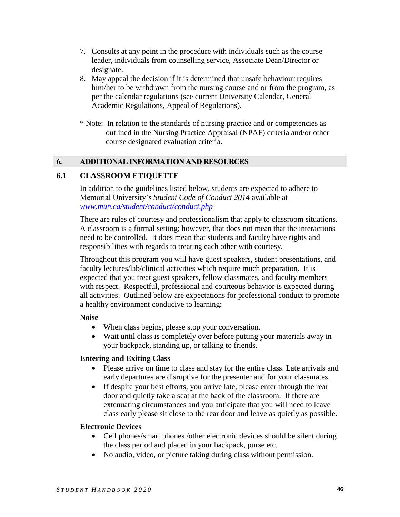- 7. Consults at any point in the procedure with individuals such as the course leader, individuals from counselling service, Associate Dean/Director or designate.
- 8. May appeal the decision if it is determined that unsafe behaviour requires him/her to be withdrawn from the nursing course and or from the program, as per the calendar regulations (see current University Calendar, General Academic Regulations, Appeal of Regulations).
- \* Note: In relation to the standards of nursing practice and or competencies as outlined in the Nursing Practice Appraisal (NPAF) criteria and/or other course designated evaluation criteria.

## **6. ADDITIONAL INFORMATION AND RESOURCES**

### **6.1 CLASSROOM ETIQUETTE**

In addition to the guidelines listed below, students are expected to adhere to Memorial University's *Student Code of Conduct 2014* available at *[www.mun.ca/student/conduct/conduct.php](http://www.mun.ca/student/conduct/conduct.php)*

There are rules of courtesy and professionalism that apply to classroom situations. A classroom is a formal setting; however, that does not mean that the interactions need to be controlled. It does mean that students and faculty have rights and responsibilities with regards to treating each other with courtesy.

Throughout this program you will have guest speakers, student presentations, and faculty lectures/lab/clinical activities which require much preparation. It is expected that you treat guest speakers, fellow classmates, and faculty members with respect. Respectful, professional and courteous behavior is expected during all activities. Outlined below are expectations for professional conduct to promote a healthy environment conducive to learning:

#### **Noise**

- When class begins, please stop your conversation.
- Wait until class is completely over before putting your materials away in your backpack, standing up, or talking to friends.

### **Entering and Exiting Class**

- Please arrive on time to class and stay for the entire class. Late arrivals and early departures are disruptive for the presenter and for your classmates.
- If despite your best efforts, you arrive late, please enter through the rear door and quietly take a seat at the back of the classroom. If there are extenuating circumstances and you anticipate that you will need to leave class early please sit close to the rear door and leave as quietly as possible.

### **Electronic Devices**

- Cell phones/smart phones /other electronic devices should be silent during the class period and placed in your backpack, purse etc.
- No audio, video, or picture taking during class without permission.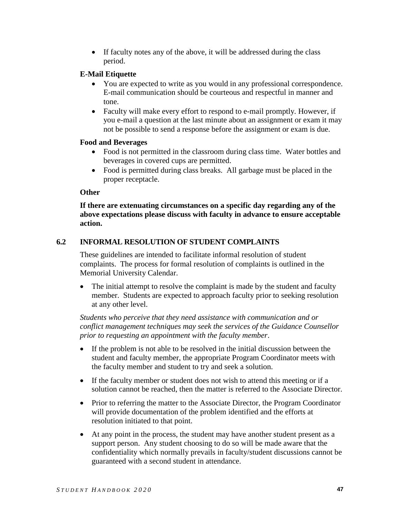If faculty notes any of the above, it will be addressed during the class period.

### **E-Mail Etiquette**

- You are expected to write as you would in any professional correspondence. E-mail communication should be courteous and respectful in manner and tone.
- Faculty will make every effort to respond to e-mail promptly. However, if you e-mail a question at the last minute about an assignment or exam it may not be possible to send a response before the assignment or exam is due.

### **Food and Beverages**

- Food is not permitted in the classroom during class time. Water bottles and beverages in covered cups are permitted.
- Food is permitted during class breaks. All garbage must be placed in the proper receptacle.

### **Other**

**If there are extenuating circumstances on a specific day regarding any of the above expectations please discuss with faculty in advance to ensure acceptable action.**

## **6.2 INFORMAL RESOLUTION OF STUDENT COMPLAINTS**

These guidelines are intended to facilitate informal resolution of student complaints. The process for formal resolution of complaints is outlined in the Memorial University Calendar.

• The initial attempt to resolve the complaint is made by the student and faculty member. Students are expected to approach faculty prior to seeking resolution at any other level.

*Students who perceive that they need assistance with communication and or conflict management techniques may seek the services of the Guidance Counsellor prior to requesting an appointment with the faculty member*.

- If the problem is not able to be resolved in the initial discussion between the student and faculty member, the appropriate Program Coordinator meets with the faculty member and student to try and seek a solution.
- If the faculty member or student does not wish to attend this meeting or if a solution cannot be reached, then the matter is referred to the Associate Director.
- Prior to referring the matter to the Associate Director, the Program Coordinator will provide documentation of the problem identified and the efforts at resolution initiated to that point.
- At any point in the process, the student may have another student present as a support person. Any student choosing to do so will be made aware that the confidentiality which normally prevails in faculty/student discussions cannot be guaranteed with a second student in attendance.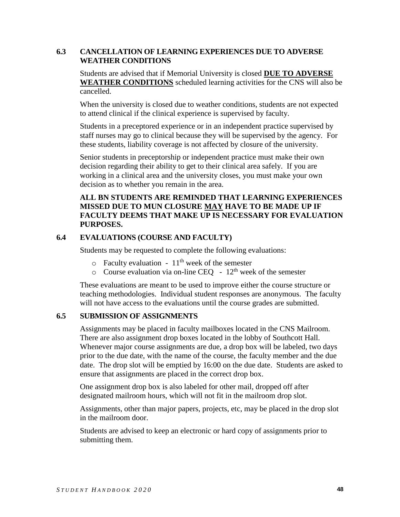## **6.3 CANCELLATION OF LEARNING EXPERIENCES DUE TO ADVERSE WEATHER CONDITIONS**

Students are advised that if Memorial University is closed **DUE TO ADVERSE WEATHER CONDITIONS** scheduled learning activities for the CNS will also be cancelled.

When the university is closed due to weather conditions, students are not expected to attend clinical if the clinical experience is supervised by faculty.

Students in a preceptored experience or in an independent practice supervised by staff nurses may go to clinical because they will be supervised by the agency. For these students, liability coverage is not affected by closure of the university.

Senior students in preceptorship or independent practice must make their own decision regarding their ability to get to their clinical area safely. If you are working in a clinical area and the university closes, you must make your own decision as to whether you remain in the area.

## **ALL BN STUDENTS ARE REMINDED THAT LEARNING EXPERIENCES MISSED DUE TO MUN CLOSURE MAY HAVE TO BE MADE UP IF FACULTY DEEMS THAT MAKE UP IS NECESSARY FOR EVALUATION PURPOSES.**

### **6.4 EVALUATIONS (COURSE AND FACULTY)**

Students may be requested to complete the following evaluations:

- $\circ$  Faculty evaluation 11<sup>th</sup> week of the semester
- $\circ$  Course evaluation via on-line CEQ 12<sup>th</sup> week of the semester

These evaluations are meant to be used to improve either the course structure or teaching methodologies. Individual student responses are anonymous. The faculty will not have access to the evaluations until the course grades are submitted.

### **6.5 SUBMISSION OF ASSIGNMENTS**

Assignments may be placed in faculty mailboxes located in the CNS Mailroom. There are also assignment drop boxes located in the lobby of Southcott Hall. Whenever major course assignments are due, a drop box will be labeled, two days prior to the due date, with the name of the course, the faculty member and the due date. The drop slot will be emptied by 16:00 on the due date. Students are asked to ensure that assignments are placed in the correct drop box.

One assignment drop box is also labeled for other mail, dropped off after designated mailroom hours, which will not fit in the mailroom drop slot.

Assignments, other than major papers, projects, etc, may be placed in the drop slot in the mailroom door.

Students are advised to keep an electronic or hard copy of assignments prior to submitting them.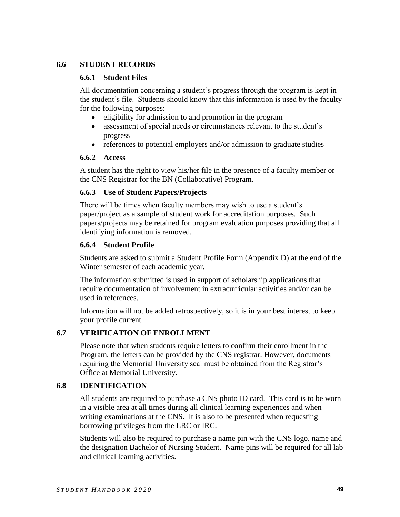### **6.6 STUDENT RECORDS**

#### **6.6.1 Student Files**

All documentation concerning a student's progress through the program is kept in the student's file. Students should know that this information is used by the faculty for the following purposes:

- eligibility for admission to and promotion in the program
- assessment of special needs or circumstances relevant to the student's progress
- references to potential employers and/or admission to graduate studies

### **6.6.2 Access**

A student has the right to view his/her file in the presence of a faculty member or the CNS Registrar for the BN (Collaborative) Program.

### **6.6.3 Use of Student Papers/Projects**

There will be times when faculty members may wish to use a student's paper/project as a sample of student work for accreditation purposes. Such papers/projects may be retained for program evaluation purposes providing that all identifying information is removed.

### **6.6.4 Student Profile**

Students are asked to submit a Student Profile Form (Appendix D) at the end of the Winter semester of each academic year.

The information submitted is used in support of scholarship applications that require documentation of involvement in extracurricular activities and/or can be used in references.

Information will not be added retrospectively, so it is in your best interest to keep your profile current.

## **6.7 VERIFICATION OF ENROLLMENT**

Please note that when students require letters to confirm their enrollment in the Program, the letters can be provided by the CNS registrar. However, documents requiring the Memorial University seal must be obtained from the Registrar's Office at Memorial University.

## **6.8 IDENTIFICATION**

All students are required to purchase a CNS photo ID card. This card is to be worn in a visible area at all times during all clinical learning experiences and when writing examinations at the CNS. It is also to be presented when requesting borrowing privileges from the LRC or IRC.

Students will also be required to purchase a name pin with the CNS logo, name and the designation Bachelor of Nursing Student. Name pins will be required for all lab and clinical learning activities.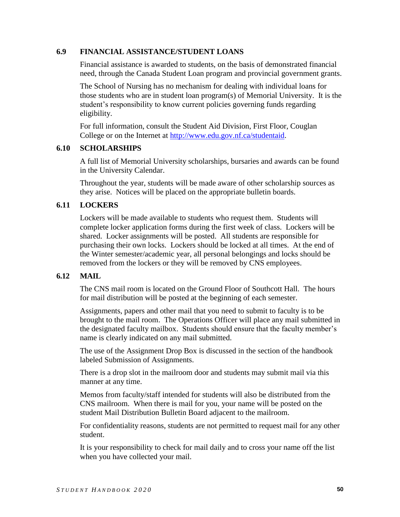### **6.9 FINANCIAL ASSISTANCE/STUDENT LOANS**

Financial assistance is awarded to students, on the basis of demonstrated financial need, through the Canada Student Loan program and provincial government grants.

The School of Nursing has no mechanism for dealing with individual loans for those students who are in student loan program(s) of Memorial University. It is the student's responsibility to know current policies governing funds regarding eligibility.

For full information, consult the Student Aid Division, First Floor, Couglan College or on the Internet at [http://www.edu.gov.nf.ca/studentaid.](http://www.edu.gov.nf.ca/studentaid)

### **6.10 SCHOLARSHIPS**

A full list of Memorial University scholarships, bursaries and awards can be found in the University Calendar.

Throughout the year, students will be made aware of other scholarship sources as they arise. Notices will be placed on the appropriate bulletin boards.

## **6.11 LOCKERS**

Lockers will be made available to students who request them. Students will complete locker application forms during the first week of class. Lockers will be shared. Locker assignments will be posted. All students are responsible for purchasing their own locks. Lockers should be locked at all times. At the end of the Winter semester/academic year, all personal belongings and locks should be removed from the lockers or they will be removed by CNS employees.

## **6.12 MAIL**

The CNS mail room is located on the Ground Floor of Southcott Hall. The hours for mail distribution will be posted at the beginning of each semester.

Assignments, papers and other mail that you need to submit to faculty is to be brought to the mail room. The Operations Officer will place any mail submitted in the designated faculty mailbox. Students should ensure that the faculty member's name is clearly indicated on any mail submitted.

The use of the Assignment Drop Box is discussed in the section of the handbook labeled Submission of Assignments.

There is a drop slot in the mailroom door and students may submit mail via this manner at any time.

Memos from faculty/staff intended for students will also be distributed from the CNS mailroom. When there is mail for you, your name will be posted on the student Mail Distribution Bulletin Board adjacent to the mailroom.

For confidentiality reasons, students are not permitted to request mail for any other student.

It is your responsibility to check for mail daily and to cross your name off the list when you have collected your mail.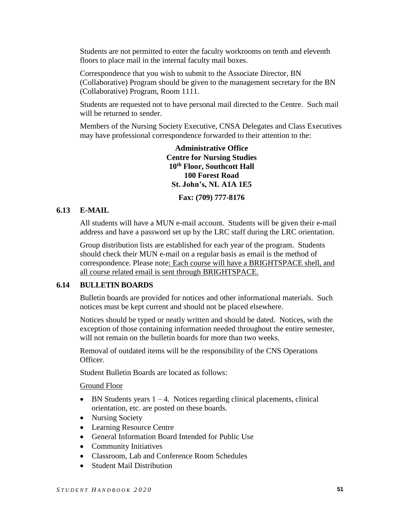Students are not permitted to enter the faculty workrooms on tenth and eleventh floors to place mail in the internal faculty mail boxes.

Correspondence that you wish to submit to the Associate Director, BN (Collaborative) Program should be given to the management secretary for the BN (Collaborative) Program, Room 1111.

Students are requested not to have personal mail directed to the Centre. Such mail will be returned to sender.

Members of the Nursing Society Executive, CNSA Delegates and Class Executives may have professional correspondence forwarded to their attention to the:

> **Administrative Office Centre for Nursing Studies 10th Floor, Southcott Hall 100 Forest Road St. John's, NL A1A 1E5**

> > **Fax: (709) 777-8176**

### **6.13 E-MAIL**

All students will have a MUN e-mail account. Students will be given their e-mail address and have a password set up by the LRC staff during the LRC orientation.

Group distribution lists are established for each year of the program. Students should check their MUN e-mail on a regular basis as email is the method of correspondence. Please note: Each course will have a BRIGHTSPACE shell, and all course related email is sent through BRIGHTSPACE.

### **6.14 BULLETIN BOARDS**

Bulletin boards are provided for notices and other informational materials. Such notices must be kept current and should not be placed elsewhere.

Notices should be typed or neatly written and should be dated. Notices, with the exception of those containing information needed throughout the entire semester, will not remain on the bulletin boards for more than two weeks.

Removal of outdated items will be the responsibility of the CNS Operations Officer.

Student Bulletin Boards are located as follows:

#### Ground Floor

- $\bullet$  BN Students years 1 4. Notices regarding clinical placements, clinical orientation, etc. are posted on these boards.
- Nursing Society
- Learning Resource Centre
- General Information Board Intended for Public Use
- Community Initiatives
- Classroom, Lab and Conference Room Schedules
- Student Mail Distribution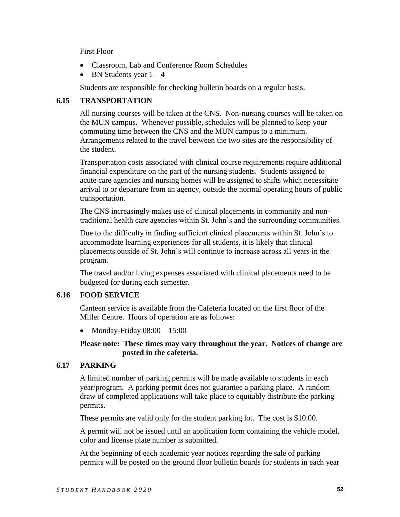### First Floor

- Classroom, Lab and Conference Room Schedules
- BN Students year  $1 4$

Students are responsible for checking bulletin boards on a regular basis.

## **6.15 TRANSPORTATION**

All nursing courses will be taken at the CNS. Non-nursing courses will be taken on the MUN campus. Whenever possible, schedules will be planned to keep your commuting time between the CNS and the MUN campus to a minimum. Arrangements related to the travel between the two sites are the responsibility of the student.

Transportation costs associated with clinical course requirements require additional financial expenditure on the part of the nursing students. Students assigned to acute care agencies and nursing homes will be assigned to shifts which necessitate arrival to or departure from an agency, outside the normal operating hours of public transportation.

The CNS increasingly makes use of clinical placements in community and nontraditional health care agencies within St. John's and the surrounding communities.

Due to the difficulty in finding sufficient clinical placements within St. John's to accommodate learning experiences for all students, it is likely that clinical placements outside of St. John's will continue to increase across all years in the program.

The travel and/or living expenses associated with clinical placements need to be budgeted for during each semester.

## **6.16 FOOD SERVICE**

Canteen service is available from the Cafeteria located on the first floor of the Miller Centre. Hours of operation are as follows:

• Monday-Friday  $08:00 - 15:00$ 

### **Please note: These times may vary throughout the year. Notices of change are posted in the cafeteria.**

## **6.17 PARKING**

A limited number of parking permits will be made available to students in each year/program. A parking permit does not guarantee a parking place. A random draw of completed applications will take place to equitably distribute the parking permits.

These permits are valid only for the student parking lot. The cost is \$10.00.

A permit will not be issued until an application form containing the vehicle model, color and license plate number is submitted.

At the beginning of each academic year notices regarding the sale of parking permits will be posted on the ground floor bulletin boards for students in each year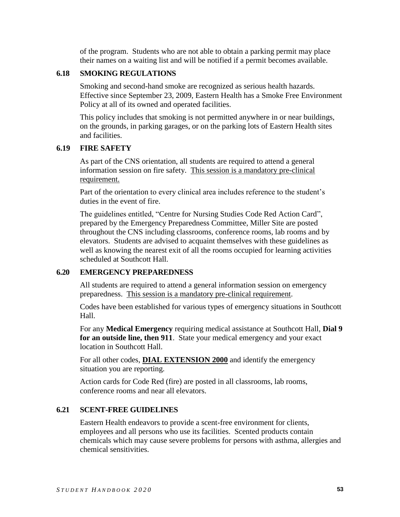of the program. Students who are not able to obtain a parking permit may place their names on a waiting list and will be notified if a permit becomes available.

### **6.18 SMOKING REGULATIONS**

Smoking and second-hand smoke are recognized as serious health hazards. Effective since September 23, 2009, Eastern Health has a Smoke Free Environment Policy at all of its owned and operated facilities.

This policy includes that smoking is not permitted anywhere in or near buildings, on the grounds, in parking garages, or on the parking lots of Eastern Health sites and facilities.

### **6.19 FIRE SAFETY**

As part of the CNS orientation, all students are required to attend a general information session on fire safety. This session is a mandatory pre-clinical requirement.

Part of the orientation to every clinical area includes reference to the student's duties in the event of fire.

The guidelines entitled, "Centre for Nursing Studies Code Red Action Card", prepared by the Emergency Preparedness Committee, Miller Site are posted throughout the CNS including classrooms, conference rooms, lab rooms and by elevators. Students are advised to acquaint themselves with these guidelines as well as knowing the nearest exit of all the rooms occupied for learning activities scheduled at Southcott Hall.

## **6.20 EMERGENCY PREPAREDNESS**

All students are required to attend a general information session on emergency preparedness. This session is a mandatory pre-clinical requirement.

Codes have been established for various types of emergency situations in Southcott Hall.

For any **Medical Emergency** requiring medical assistance at Southcott Hall, **Dial 9 for an outside line, then 911**. State your medical emergency and your exact location in Southcott Hall.

For all other codes, **DIAL EXTENSION 2000** and identify the emergency situation you are reporting.

Action cards for Code Red (fire) are posted in all classrooms, lab rooms, conference rooms and near all elevators.

## **6.21 SCENT-FREE GUIDELINES**

Eastern Health endeavors to provide a scent-free environment for clients, employees and all persons who use its facilities. Scented products contain chemicals which may cause severe problems for persons with asthma, allergies and chemical sensitivities.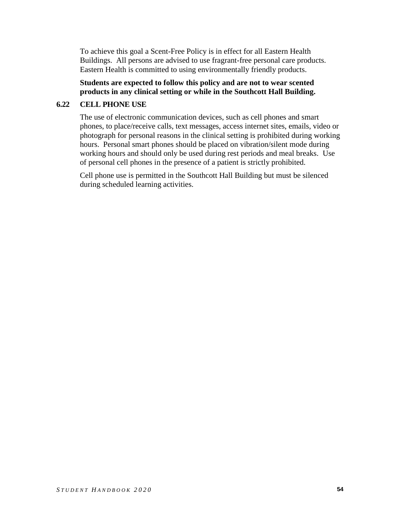To achieve this goal a Scent-Free Policy is in effect for all Eastern Health Buildings. All persons are advised to use fragrant-free personal care products. Eastern Health is committed to using environmentally friendly products.

### **Students are expected to follow this policy and are not to wear scented products in any clinical setting or while in the Southcott Hall Building.**

## **6.22 CELL PHONE USE**

The use of electronic communication devices, such as cell phones and smart phones, to place/receive calls, text messages, access internet sites, emails, video or photograph for personal reasons in the clinical setting is prohibited during working hours. Personal smart phones should be placed on vibration/silent mode during working hours and should only be used during rest periods and meal breaks. Use of personal cell phones in the presence of a patient is strictly prohibited.

Cell phone use is permitted in the Southcott Hall Building but must be silenced during scheduled learning activities.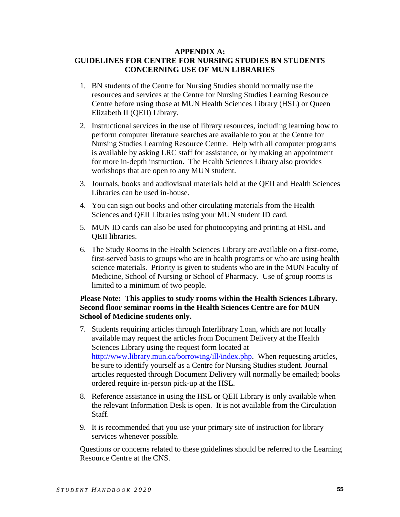### **APPENDIX A: GUIDELINES FOR CENTRE FOR NURSING STUDIES BN STUDENTS CONCERNING USE OF MUN LIBRARIES**

- 1. BN students of the Centre for Nursing Studies should normally use the resources and services at the Centre for Nursing Studies Learning Resource Centre before using those at MUN Health Sciences Library (HSL) or Queen Elizabeth II (QEII) Library.
- 2. Instructional services in the use of library resources, including learning how to perform computer literature searches are available to you at the Centre for Nursing Studies Learning Resource Centre. Help with all computer programs is available by asking LRC staff for assistance, or by making an appointment for more in-depth instruction. The Health Sciences Library also provides workshops that are open to any MUN student.
- 3. Journals, books and audiovisual materials held at the QEII and Health Sciences Libraries can be used in-house.
- 4. You can sign out books and other circulating materials from the Health Sciences and QEII Libraries using your MUN student ID card.
- 5. MUN ID cards can also be used for photocopying and printing at HSL and QEII libraries.
- 6. The Study Rooms in the Health Sciences Library are available on a first-come, first-served basis to groups who are in health programs or who are using health science materials. Priority is given to students who are in the MUN Faculty of Medicine, School of Nursing or School of Pharmacy. Use of group rooms is limited to a minimum of two people.

### **Please Note: This applies to study rooms within the Health Sciences Library. Second floor seminar rooms in the Health Sciences Centre are for MUN School of Medicine students only.**

- 7. Students requiring articles through Interlibrary Loan, which are not locally available may request the articles from Document Delivery at the Health Sciences Library using the request form located at [http://www.library.mun.ca/borrowing/ill/index.php.](http://www.library.mun.ca/borrowing/ill/index.php) When requesting articles, be sure to identify yourself as a Centre for Nursing Studies student. Journal articles requested through Document Delivery will normally be emailed; books ordered require in-person pick-up at the HSL.
- 8. Reference assistance in using the HSL or QEII Library is only available when the relevant Information Desk is open. It is not available from the Circulation Staff.
- 9. It is recommended that you use your primary site of instruction for library services whenever possible.

Questions or concerns related to these guidelines should be referred to the Learning Resource Centre at the CNS.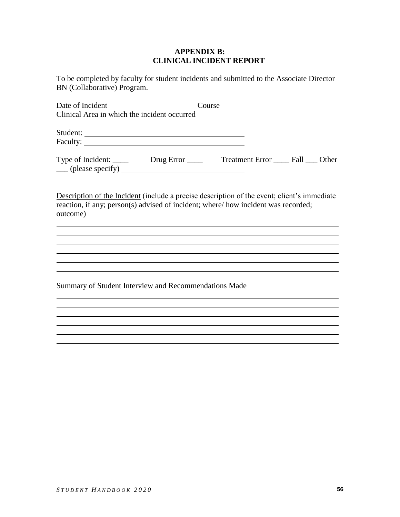### **APPENDIX B: CLINICAL INCIDENT REPORT**

To be completed by faculty for student incidents and submitted to the Associate Director BN (Collaborative) Program.

| Date of Incident                                              |            |                            |  |
|---------------------------------------------------------------|------------|----------------------------|--|
|                                                               |            |                            |  |
|                                                               |            |                            |  |
| Type of Incident: _____<br>$\qquad$ (please specify) $\qquad$ | Drug Error | Treatment Error Fall Other |  |

Description of the Incident (include a precise description of the event; client's immediate reaction, if any; person(s) advised of incident; where/ how incident was recorded; outcome)

Summary of Student Interview and Recommendations Made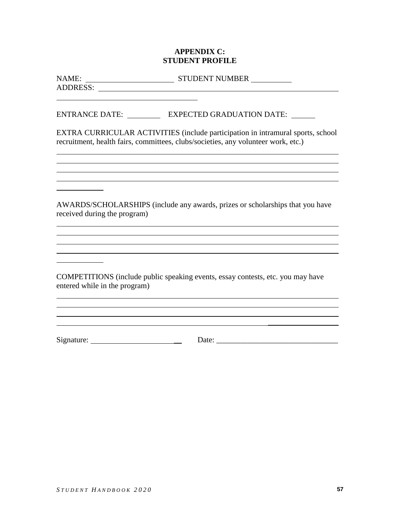### **APPENDIX C: STUDENT PROFILE**

ADDRESS: New York Contract to the ADDRESS:

NAME: STUDENT NUMBER

ENTRANCE DATE: EXPECTED GRADUATION DATE:

EXTRA CURRICULAR ACTIVITIES (include participation in intramural sports, school recruitment, health fairs, committees, clubs/societies, any volunteer work, etc.)

AWARDS/SCHOLARSHIPS (include any awards, prizes or scholarships that you have received during the program)

COMPETITIONS (include public speaking events, essay contests, etc. you may have entered while in the program)

Signature: \_\_ Date: \_\_\_\_\_\_\_\_\_\_\_\_\_\_\_\_\_\_\_\_\_\_\_\_\_\_\_\_\_\_\_

\_\_\_\_\_\_\_\_\_\_\_\_\_\_\_\_\_\_